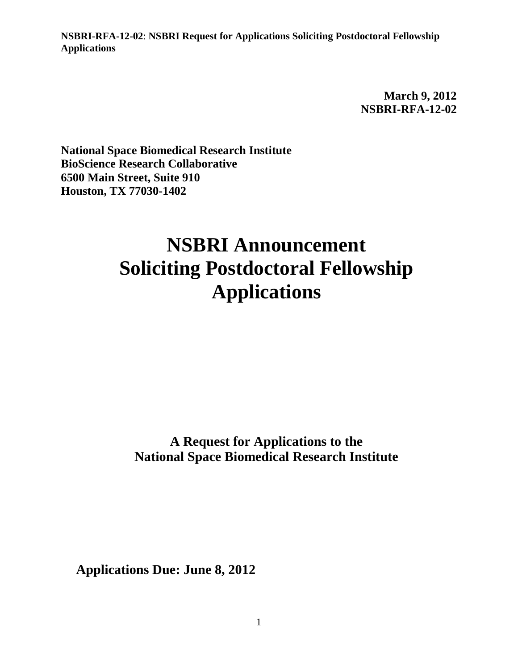> **March 9, 2012 NSBRI-RFA-12-02**

**National Space Biomedical Research Institute BioScience Research Collaborative 6500 Main Street, Suite 910 Houston, TX 77030-1402**

# **NSBRI Announcement Soliciting Postdoctoral Fellowship Applications**

**A Request for Applications to the National Space Biomedical Research Institute**

**Applications Due: June 8, 2012**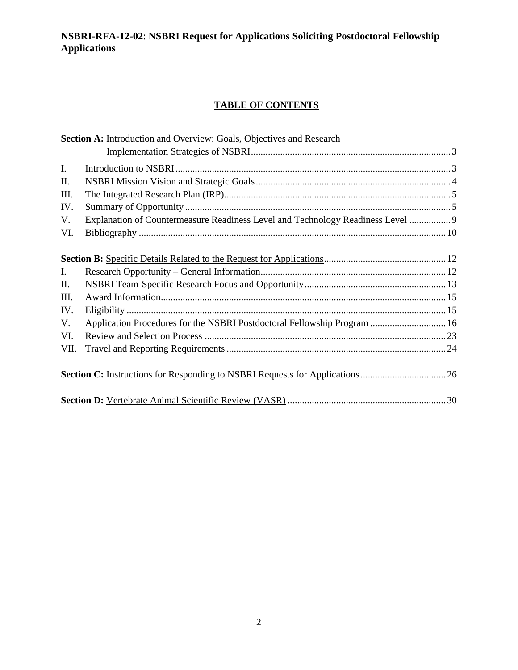# **TABLE OF CONTENTS**

|                | Section A: Introduction and Overview: Goals, Objectives and Research            |  |  |
|----------------|---------------------------------------------------------------------------------|--|--|
|                |                                                                                 |  |  |
| $\mathbf{I}$ . |                                                                                 |  |  |
| II.            |                                                                                 |  |  |
| Ш.             |                                                                                 |  |  |
| IV.            |                                                                                 |  |  |
| V.             | Explanation of Countermeasure Readiness Level and Technology Readiness Level  9 |  |  |
| VI.            |                                                                                 |  |  |
|                |                                                                                 |  |  |
|                |                                                                                 |  |  |
| L              |                                                                                 |  |  |
| Π.             |                                                                                 |  |  |
| III.           |                                                                                 |  |  |
| IV.            |                                                                                 |  |  |
| V.             | Application Procedures for the NSBRI Postdoctoral Fellowship Program  16        |  |  |
| VI.            |                                                                                 |  |  |
| VII.           |                                                                                 |  |  |
|                |                                                                                 |  |  |
|                |                                                                                 |  |  |
|                |                                                                                 |  |  |
|                |                                                                                 |  |  |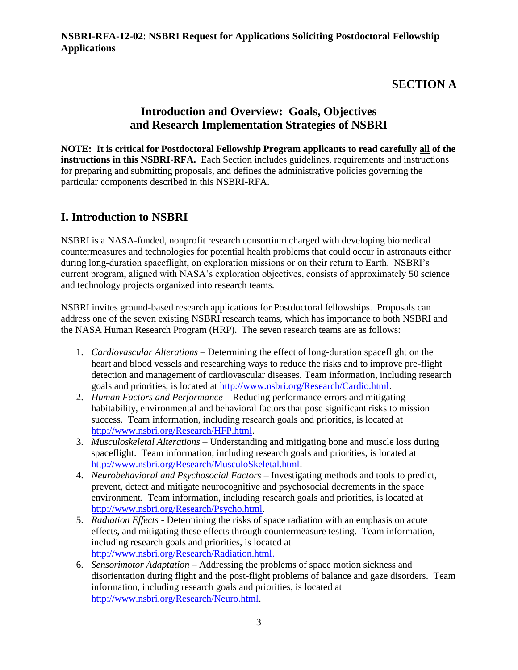# **SECTION A**

# **Introduction and Overview: Goals, Objectives and Research Implementation Strategies of NSBRI**

**NOTE: It is critical for Postdoctoral Fellowship Program applicants to read carefully all of the instructions in this NSBRI-RFA.** Each Section includes guidelines, requirements and instructions for preparing and submitting proposals, and defines the administrative policies governing the particular components described in this NSBRI-RFA.

# **I. Introduction to NSBRI**

NSBRI is a NASA-funded, nonprofit research consortium charged with developing biomedical countermeasures and technologies for potential health problems that could occur in astronauts either during long-duration spaceflight, on exploration missions or on their return to Earth. NSBRI's current program, aligned with NASA's exploration objectives, consists of approximately 50 science and technology projects organized into research teams.

NSBRI invites ground-based research applications for Postdoctoral fellowships. Proposals can address one of the seven existing NSBRI research teams, which has importance to both NSBRI and the NASA Human Research Program (HRP). The seven research teams are as follows:

- 1. *Cardiovascular Alterations*  Determining the effect of long-duration spaceflight on the heart and blood vessels and researching ways to reduce the risks and to improve pre-flight detection and management of cardiovascular diseases. Team information, including research goals and priorities, is located at [http://www.nsbri.org/Research/Cardio.html.](http://www.nsbri.org/Research/Cardio.html)
- 2. *Human Factors and Performance*  Reducing performance errors and mitigating habitability, environmental and behavioral factors that pose significant risks to mission success. Team information, including research goals and priorities, is located at [http://www.nsbri.org/Research/HFP.html.](http://www.nsbri.org/Research/HFP.html)
- 3. *Musculoskeletal Alterations*  Understanding and mitigating bone and muscle loss during spaceflight. Team information, including research goals and priorities, is located at [http://www.nsbri.org/Research/MusculoSkeletal.html.](http://www.nsbri.org/Research/MusculoSkeletal.html)
- 4. *Neurobehavioral and Psychosocial Factors*  Investigating methods and tools to predict, prevent, detect and mitigate neurocognitive and psychosocial decrements in the space environment. Team information, including research goals and priorities, is located at [http://www.nsbri.org/Research/Psycho.html.](http://www.nsbri.org/Research/Psycho.html)
- 5. *Radiation Effects*  Determining the risks of space radiation with an emphasis on acute effects, and mitigating these effects through countermeasure testing. Team information, including research goals and priorities, is located at [http://www.nsbri.org/Research/Radiation.html.](http://www.nsbri.org/Research/Radiation.html)
- 6. *Sensorimotor Adaptation*  Addressing the problems of space motion sickness and disorientation during flight and the post-flight problems of balance and gaze disorders. Team information, including research goals and priorities, is located at [http://www.nsbri.org/Research/Neuro.html.](http://www.nsbri.org/Research/Neuro.html)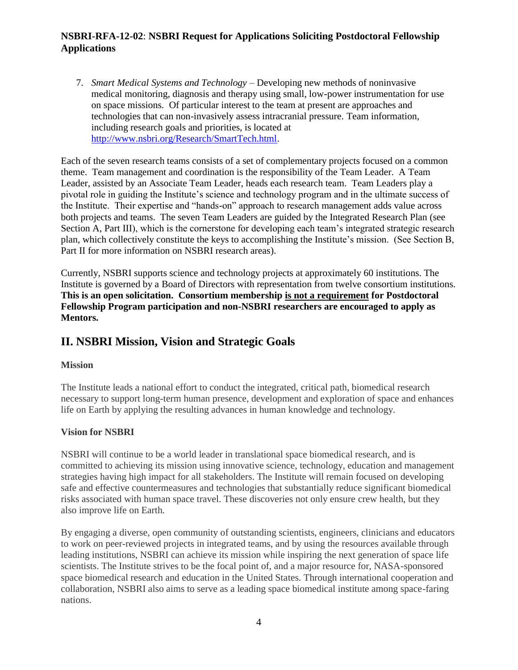7. *Smart Medical Systems and Technology* – Developing new methods of noninvasive medical monitoring, diagnosis and therapy using small, low-power instrumentation for use on space missions. Of particular interest to the team at present are approaches and technologies that can non-invasively assess intracranial pressure. Team information, including research goals and priorities, is located at [http://www.nsbri.org/Research/SmartTech.html.](http://www.nsbri.org/Research/SmartTech.html)

Each of the seven research teams consists of a set of complementary projects focused on a common theme. Team management and coordination is the responsibility of the Team Leader. A Team Leader, assisted by an Associate Team Leader, heads each research team. Team Leaders play a pivotal role in guiding the Institute's science and technology program and in the ultimate success of the Institute. Their expertise and "hands-on" approach to research management adds value across both projects and teams. The seven Team Leaders are guided by the Integrated Research Plan (see Section A, Part III), which is the cornerstone for developing each team's integrated strategic research plan, which collectively constitute the keys to accomplishing the Institute's mission. (See Section B, Part II for more information on NSBRI research areas).

Currently, NSBRI supports science and technology projects at approximately 60 institutions. The Institute is governed by a Board of Directors with representation from twelve consortium institutions. **This is an open solicitation. Consortium membership is not a requirement for Postdoctoral Fellowship Program participation and non-NSBRI researchers are encouraged to apply as Mentors.**

# **II. NSBRI Mission, Vision and Strategic Goals**

### **Mission**

The Institute leads a national effort to conduct the integrated, critical path, biomedical research necessary to support long-term human presence, development and exploration of space and enhances life on Earth by applying the resulting advances in human knowledge and technology.

### **Vision for NSBRI**

NSBRI will continue to be a world leader in translational space biomedical research, and is committed to achieving its mission using innovative science, technology, education and management strategies having high impact for all stakeholders. The Institute will remain focused on developing safe and effective countermeasures and technologies that substantially reduce significant biomedical risks associated with human space travel. These discoveries not only ensure crew health, but they also improve life on Earth.

By engaging a diverse, open community of outstanding scientists, engineers, clinicians and educators to work on peer-reviewed projects in integrated teams, and by using the resources available through leading institutions, NSBRI can achieve its mission while inspiring the next generation of space life scientists. The Institute strives to be the focal point of, and a major resource for, NASA-sponsored space biomedical research and education in the United States. Through international cooperation and collaboration, NSBRI also aims to serve as a leading space biomedical institute among space-faring nations.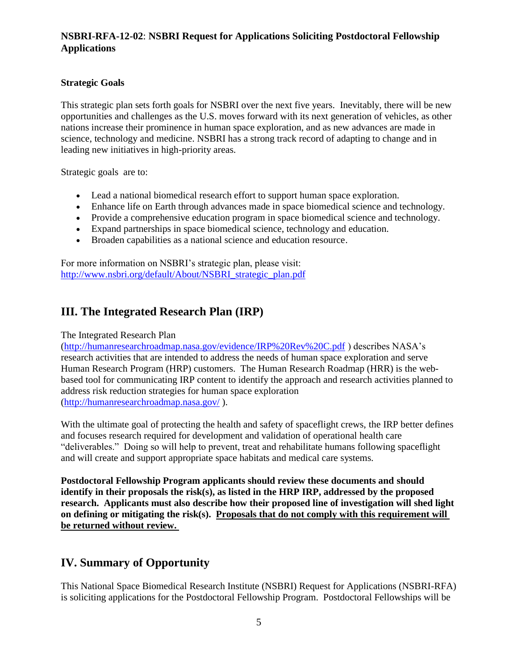### **Strategic Goals**

This strategic plan sets forth goals for NSBRI over the next five years. Inevitably, there will be new opportunities and challenges as the U.S. moves forward with its next generation of vehicles, as other nations increase their prominence in human space exploration, and as new advances are made in science, technology and medicine. NSBRI has a strong track record of adapting to change and in leading new initiatives in high-priority areas.

Strategic goals are to:

- Lead a national biomedical research effort to support human space exploration.
- Enhance life on Earth through advances made in space biomedical science and technology.
- Provide a comprehensive education program in space biomedical science and technology.
- Expand partnerships in space biomedical science, technology and education.
- Broaden capabilities as a national science and education resource.

For more information on NSBRI's strategic plan, please visit: [http://www.nsbri.org/default/About/NSBRI\\_strategic\\_plan.pdf](http://www.nsbri.org/default/About/NSBRI_strategic_plan.pdf)

# **III. The Integrated Research Plan (IRP)**

#### The Integrated Research Plan

[\(http://humanresearchroadmap.nasa.gov/evidence/IRP%20Rev%20C.pdf](http://humanresearchroadmap.nasa.gov/evidence/IRP%20Rev%20C.pdf) ) describes NASA's research activities that are intended to address the needs of human space exploration and serve Human Research Program (HRP) customers. The Human Research Roadmap (HRR) is the webbased tool for communicating IRP content to identify the approach and research activities planned to address risk reduction strategies for human space exploration [\(http://humanresearchroadmap.nasa.gov/](http://humanresearchroadmap.nasa.gov/) ).

With the ultimate goal of protecting the health and safety of spaceflight crews, the IRP better defines and focuses research required for development and validation of operational health care "deliverables." Doing so will help to prevent, treat and rehabilitate humans following spaceflight and will create and support appropriate space habitats and medical care systems.

**Postdoctoral Fellowship Program applicants should review these documents and should identify in their proposals the risk(s), as listed in the HRP IRP, addressed by the proposed research. Applicants must also describe how their proposed line of investigation will shed light on defining or mitigating the risk(s). Proposals that do not comply with this requirement will be returned without review.** 

# **IV. Summary of Opportunity**

This National Space Biomedical Research Institute (NSBRI) Request for Applications (NSBRI-RFA) is soliciting applications for the Postdoctoral Fellowship Program. Postdoctoral Fellowships will be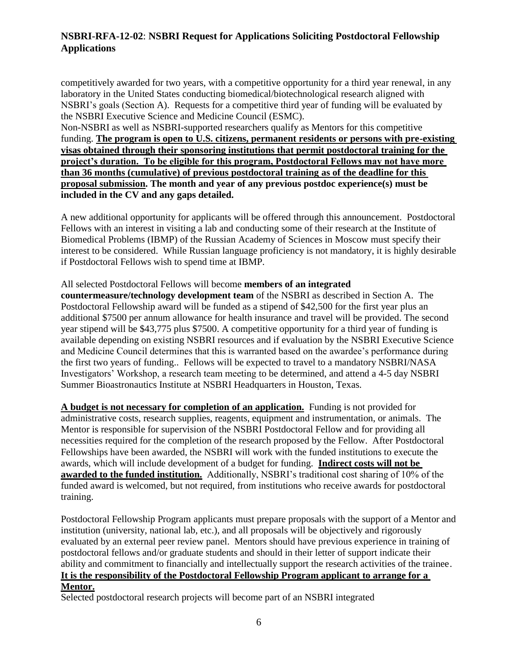competitively awarded for two years, with a competitive opportunity for a third year renewal, in any laboratory in the United States conducting biomedical/biotechnological research aligned with NSBRI's goals (Section A). Requests for a competitive third year of funding will be evaluated by the NSBRI Executive Science and Medicine Council (ESMC).

Non-NSBRI as well as NSBRI-supported researchers qualify as Mentors for this competitive funding. **The program is open to U.S. citizens, permanent residents or persons with pre-existing visas obtained through their sponsoring institutions that permit postdoctoral training for the project's duration. To be eligible for this program, Postdoctoral Fellows may not have more than 36 months (cumulative) of previous postdoctoral training as of the deadline for this proposal submission. The month and year of any previous postdoc experience(s) must be included in the CV and any gaps detailed.**

A new additional opportunity for applicants will be offered through this announcement. Postdoctoral Fellows with an interest in visiting a lab and conducting some of their research at the Institute of Biomedical Problems (IBMP) of the Russian Academy of Sciences in Moscow must specify their interest to be considered. While Russian language proficiency is not mandatory, it is highly desirable if Postdoctoral Fellows wish to spend time at IBMP.

#### All selected Postdoctoral Fellows will become **members of an integrated**

**countermeasure/technology development team** of the NSBRI as described in Section A. The Postdoctoral Fellowship award will be funded as a stipend of \$42,500 for the first year plus an additional \$7500 per annum allowance for health insurance and travel will be provided. The second year stipend will be \$43,775 plus \$7500. A competitive opportunity for a third year of funding is available depending on existing NSBRI resources and if evaluation by the NSBRI Executive Science and Medicine Council determines that this is warranted based on the awardee's performance during the first two years of funding.. Fellows will be expected to travel to a mandatory NSBRI/NASA Investigators' Workshop, a research team meeting to be determined, and attend a 4-5 day NSBRI Summer Bioastronautics Institute at NSBRI Headquarters in Houston, Texas.

**A budget is not necessary for completion of an application.** Funding is not provided for administrative costs, research supplies, reagents, equipment and instrumentation, or animals. The Mentor is responsible for supervision of the NSBRI Postdoctoral Fellow and for providing all necessities required for the completion of the research proposed by the Fellow. After Postdoctoral Fellowships have been awarded, the NSBRI will work with the funded institutions to execute the awards, which will include development of a budget for funding. **Indirect costs will not be awarded to the funded institution.** Additionally, NSBRI's traditional cost sharing of 10% of the funded award is welcomed, but not required, from institutions who receive awards for postdoctoral training.

Postdoctoral Fellowship Program applicants must prepare proposals with the support of a Mentor and institution (university, national lab, etc.), and all proposals will be objectively and rigorously evaluated by an external peer review panel. Mentors should have previous experience in training of postdoctoral fellows and/or graduate students and should in their letter of support indicate their ability and commitment to financially and intellectually support the research activities of the trainee. **It is the responsibility of the Postdoctoral Fellowship Program applicant to arrange for a Mentor.**

Selected postdoctoral research projects will become part of an NSBRI integrated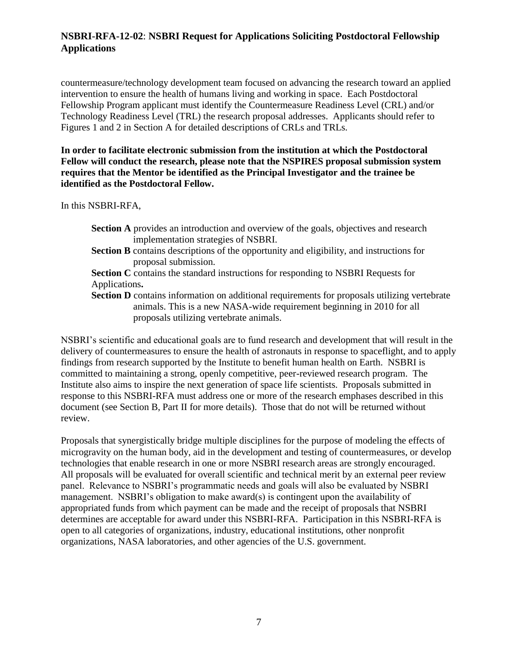countermeasure/technology development team focused on advancing the research toward an applied intervention to ensure the health of humans living and working in space. Each Postdoctoral Fellowship Program applicant must identify the Countermeasure Readiness Level (CRL) and/or Technology Readiness Level (TRL) the research proposal addresses. Applicants should refer to Figures 1 and 2 in Section A for detailed descriptions of CRLs and TRLs.

**In order to facilitate electronic submission from the institution at which the Postdoctoral Fellow will conduct the research, please note that the NSPIRES proposal submission system requires that the Mentor be identified as the Principal Investigator and the trainee be identified as the Postdoctoral Fellow.** 

In this NSBRI-RFA,

- **Section A** provides an introduction and overview of the goals, objectives and research implementation strategies of NSBRI.
- **Section B** contains descriptions of the opportunity and eligibility, and instructions for proposal submission.
- **Section C** contains the standard instructions for responding to NSBRI Requests for Applications**.**

**Section D** contains information on additional requirements for proposals utilizing vertebrate animals. This is a new NASA-wide requirement beginning in 2010 for all proposals utilizing vertebrate animals.

NSBRI's scientific and educational goals are to fund research and development that will result in the delivery of countermeasures to ensure the health of astronauts in response to spaceflight, and to apply findings from research supported by the Institute to benefit human health on Earth. NSBRI is committed to maintaining a strong, openly competitive, peer-reviewed research program. The Institute also aims to inspire the next generation of space life scientists. Proposals submitted in response to this NSBRI-RFA must address one or more of the research emphases described in this document (see Section B, Part II for more details). Those that do not will be returned without review.

Proposals that synergistically bridge multiple disciplines for the purpose of modeling the effects of microgravity on the human body, aid in the development and testing of countermeasures, or develop technologies that enable research in one or more NSBRI research areas are strongly encouraged. All proposals will be evaluated for overall scientific and technical merit by an external peer review panel. Relevance to NSBRI's programmatic needs and goals will also be evaluated by NSBRI management. NSBRI's obligation to make award(s) is contingent upon the availability of appropriated funds from which payment can be made and the receipt of proposals that NSBRI determines are acceptable for award under this NSBRI-RFA. Participation in this NSBRI-RFA is open to all categories of organizations, industry, educational institutions, other nonprofit organizations, NASA laboratories, and other agencies of the U.S. government.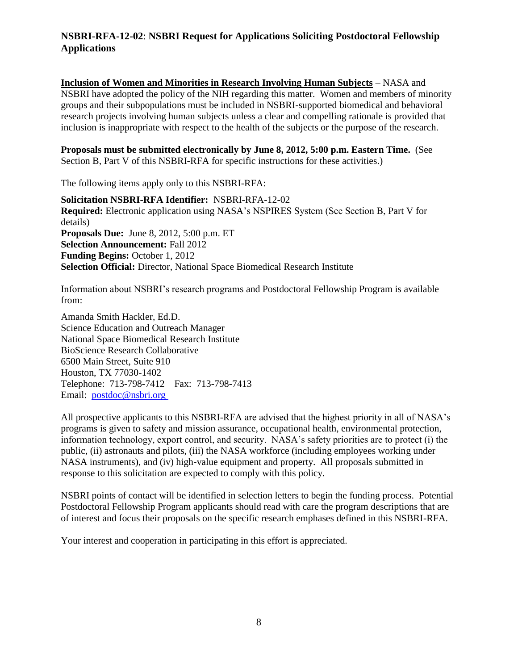**Inclusion of Women and Minorities in Research Involving Human Subjects** – NASA and NSBRI have adopted the policy of the NIH regarding this matter. Women and members of minority groups and their subpopulations must be included in NSBRI-supported biomedical and behavioral research projects involving human subjects unless a clear and compelling rationale is provided that inclusion is inappropriate with respect to the health of the subjects or the purpose of the research.

**Proposals must be submitted electronically by June 8, 2012, 5:00 p.m. Eastern Time.** (See Section B, Part V of this NSBRI-RFA for specific instructions for these activities.)

The following items apply only to this NSBRI-RFA:

**Solicitation NSBRI-RFA Identifier:** NSBRI-RFA-12-02 **Required:** Electronic application using NASA's NSPIRES System (See Section B, Part V for details) **Proposals Due:** June 8, 2012, 5:00 p.m. ET **Selection Announcement:** Fall 2012 **Funding Begins:** October 1, 2012 **Selection Official:** Director, National Space Biomedical Research Institute

Information about NSBRI's research programs and Postdoctoral Fellowship Program is available from:

Amanda Smith Hackler, Ed.D. Science Education and Outreach Manager National Space Biomedical Research Institute BioScience Research Collaborative 6500 Main Street, Suite 910 Houston, TX 77030-1402 Telephone: 713-798-7412 Fax: 713-798-7413 Email: [postdoc@nsbri.org](mailto:postdoc@nsbri.org) 

All prospective applicants to this NSBRI-RFA are advised that the highest priority in all of NASA's programs is given to safety and mission assurance, occupational health, environmental protection, information technology, export control, and security. NASA's safety priorities are to protect (i) the public, (ii) astronauts and pilots, (iii) the NASA workforce (including employees working under NASA instruments), and (iv) high-value equipment and property. All proposals submitted in response to this solicitation are expected to comply with this policy.

NSBRI points of contact will be identified in selection letters to begin the funding process. Potential Postdoctoral Fellowship Program applicants should read with care the program descriptions that are of interest and focus their proposals on the specific research emphases defined in this NSBRI-RFA.

Your interest and cooperation in participating in this effort is appreciated.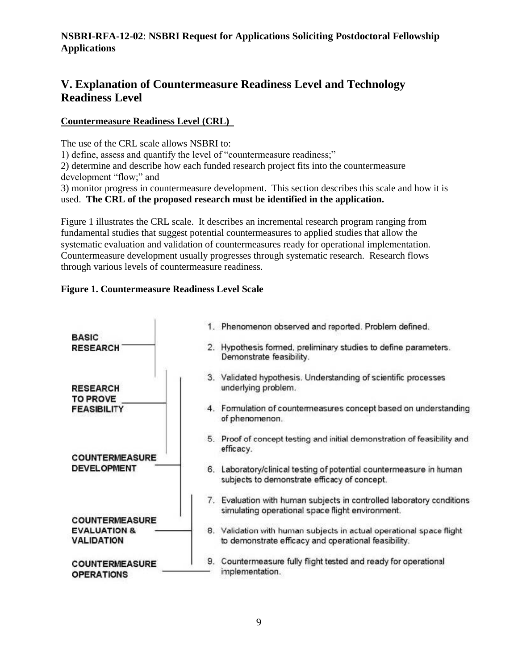# **V. Explanation of Countermeasure Readiness Level and Technology Readiness Level**

### **Countermeasure Readiness Level (CRL)**

The use of the CRL scale allows NSBRI to:

1) define, assess and quantify the level of "countermeasure readiness;"

2) determine and describe how each funded research project fits into the countermeasure development "flow;" and

3) monitor progress in countermeasure development. This section describes this scale and how it is used. **The CRL of the proposed research must be identified in the application.** 

Figure 1 illustrates the CRL scale. It describes an incremental research program ranging from fundamental studies that suggest potential countermeasures to applied studies that allow the systematic evaluation and validation of countermeasures ready for operational implementation. Countermeasure development usually progresses through systematic research. Research flows through various levels of countermeasure readiness.

### **Figure 1. Countermeasure Readiness Level Scale**

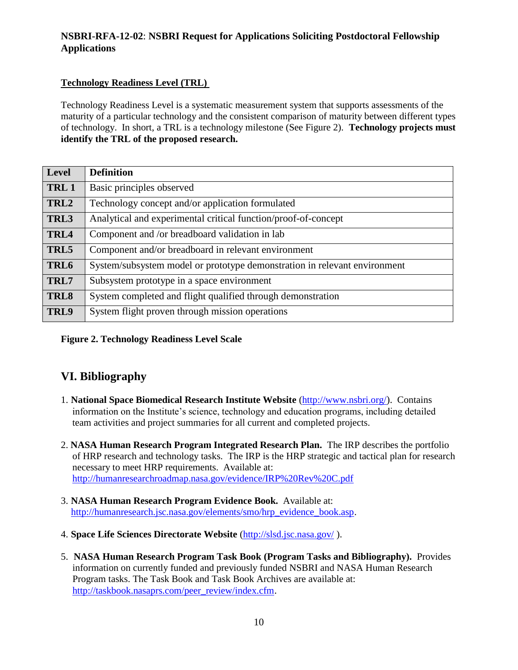### **Technology Readiness Level (TRL)**

Technology Readiness Level is a systematic measurement system that supports assessments of the maturity of a particular technology and the consistent comparison of maturity between different types of technology. In short, a TRL is a technology milestone (See Figure 2). **Technology projects must identify the TRL of the proposed research.**

| <b>Level</b>     | <b>Definition</b>                                                         |
|------------------|---------------------------------------------------------------------------|
| TRL <sub>1</sub> | Basic principles observed                                                 |
| TRL <sub>2</sub> | Technology concept and/or application formulated                          |
| TRL3             | Analytical and experimental critical function/proof-of-concept            |
| TRL4             | Component and /or breadboard validation in lab                            |
| TRL5             | Component and/or breadboard in relevant environment                       |
| TRL6             | System/subsystem model or prototype demonstration in relevant environment |
| TRL7             | Subsystem prototype in a space environment                                |
| TRL8             | System completed and flight qualified through demonstration               |
| TRL9             | System flight proven through mission operations                           |

### **Figure 2. Technology Readiness Level Scale**

# **VI. Bibliography**

- 1. **National Space Biomedical Research Institute Website** [\(http://www.nsbri.org/](http://www.nsbri.org/)). Contains information on the Institute's science, technology and education programs, including detailed team activities and project summaries for all current and completed projects.
- 2. **NASA Human Research Program Integrated Research Plan.** The IRP describes the portfolio of HRP research and technology tasks. The IRP is the HRP strategic and tactical plan for research necessary to meet HRP requirements. Available at: <http://humanresearchroadmap.nasa.gov/evidence/IRP%20Rev%20C.pdf>
- 3. **NASA Human Research Program Evidence Book.** Available at: [http://humanresearch.jsc.nasa.gov/elements/smo/hrp\\_evidence\\_book.asp.](http://humanresearch.jsc.nasa.gov/elements/smo/hrp_evidence_book.asp)
- 4. **Space Life Sciences Directorate Website** [\(http://slsd.jsc.nasa.gov/](http://slsd.jsc.nasa.gov/) ).
- 5. **NASA Human Research Program Task Book (Program Tasks and Bibliography).** Provides information on currently funded and previously funded NSBRI and NASA Human Research Program tasks. The Task Book and Task Book Archives are available at: [http://taskbook.nasaprs.com/peer\\_review/index.cfm](http://taskbook.nasaprs.com/peer_review/index.cfm).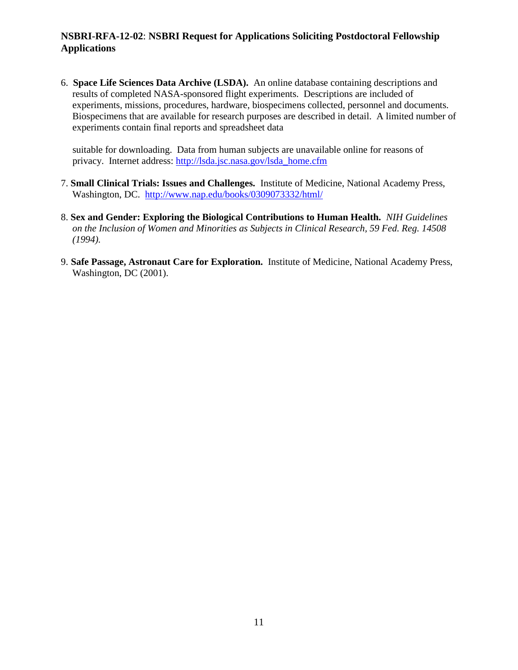6. **Space Life Sciences Data Archive (LSDA).** An online database containing descriptions and results of completed NASA-sponsored flight experiments. Descriptions are included of experiments, missions, procedures, hardware, biospecimens collected, personnel and documents. Biospecimens that are available for research purposes are described in detail. A limited number of experiments contain final reports and spreadsheet data

suitable for downloading. Data from human subjects are unavailable online for reasons of privacy. Internet address: [http://lsda.jsc.nasa.gov/lsda\\_home.cfm](http://lsda.jsc.nasa.gov/lsda_home.cfm)

- 7. **Small Clinical Trials: Issues and Challenges.** Institute of Medicine, National Academy Press, Washington, DC. <http://www.nap.edu/books/0309073332/html/>
- 8. **Sex and Gender: Exploring the Biological Contributions to Human Health.** *NIH Guidelines on the Inclusion of Women and Minorities as Subjects in Clinical Research, 59 Fed. Reg. 14508 (1994).*
- 9. **Safe Passage, Astronaut Care for Exploration.** Institute of Medicine, National Academy Press, Washington, DC (2001).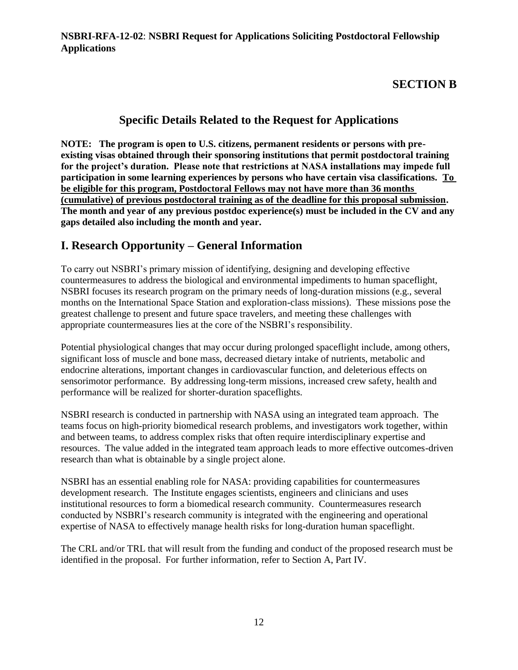# **SECTION B**

# **Specific Details Related to the Request for Applications**

**NOTE: The program is open to U.S. citizens, permanent residents or persons with preexisting visas obtained through their sponsoring institutions that permit postdoctoral training for the project's duration. Please note that restrictions at NASA installations may impede full participation in some learning experiences by persons who have certain visa classifications. To be eligible for this program, Postdoctoral Fellows may not have more than 36 months (cumulative) of previous postdoctoral training as of the deadline for this proposal submission. The month and year of any previous postdoc experience(s) must be included in the CV and any gaps detailed also including the month and year.**

# **I. Research Opportunity – General Information**

To carry out NSBRI's primary mission of identifying, designing and developing effective countermeasures to address the biological and environmental impediments to human spaceflight, NSBRI focuses its research program on the primary needs of long-duration missions (e.g., several months on the International Space Station and exploration-class missions). These missions pose the greatest challenge to present and future space travelers, and meeting these challenges with appropriate countermeasures lies at the core of the NSBRI's responsibility.

Potential physiological changes that may occur during prolonged spaceflight include, among others, significant loss of muscle and bone mass, decreased dietary intake of nutrients, metabolic and endocrine alterations, important changes in cardiovascular function, and deleterious effects on sensorimotor performance. By addressing long-term missions, increased crew safety, health and performance will be realized for shorter-duration spaceflights.

NSBRI research is conducted in partnership with NASA using an integrated team approach. The teams focus on high-priority biomedical research problems, and investigators work together, within and between teams, to address complex risks that often require interdisciplinary expertise and resources. The value added in the integrated team approach leads to more effective outcomes-driven research than what is obtainable by a single project alone.

NSBRI has an essential enabling role for NASA: providing capabilities for countermeasures development research. The Institute engages scientists, engineers and clinicians and uses institutional resources to form a biomedical research community. Countermeasures research conducted by NSBRI's research community is integrated with the engineering and operational expertise of NASA to effectively manage health risks for long-duration human spaceflight.

The CRL and/or TRL that will result from the funding and conduct of the proposed research must be identified in the proposal. For further information, refer to Section A, Part IV.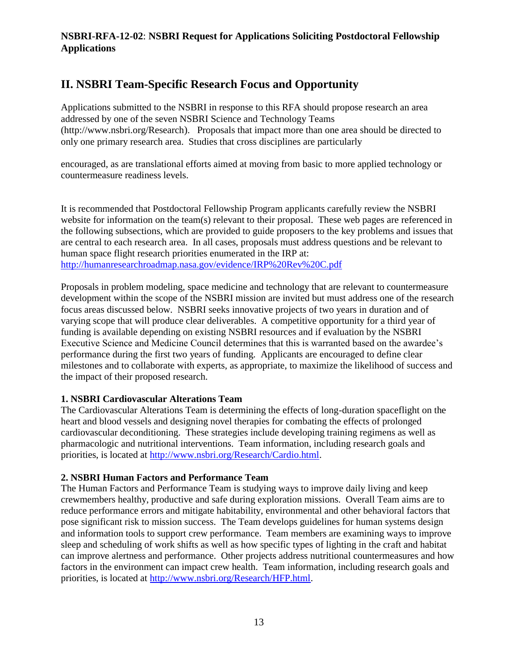# **II. NSBRI Team-Specific Research Focus and Opportunity**

Applications submitted to the NSBRI in response to this RFA should propose research an area addressed by one of the seven NSBRI Science and Technology Teams [\(http://www.nsbri.org/Research](http://www.nsbri.org/Research/)). Proposals that impact more than one area should be directed to only one primary research area. Studies that cross disciplines are particularly

encouraged, as are translational efforts aimed at moving from basic to more applied technology or countermeasure readiness levels.

It is recommended that Postdoctoral Fellowship Program applicants carefully review the NSBRI website for information on the team(s) relevant to their proposal. These web pages are referenced in the following subsections, which are provided to guide proposers to the key problems and issues that are central to each research area. In all cases, proposals must address questions and be relevant to human space flight research priorities enumerated in the IRP at: <http://humanresearchroadmap.nasa.gov/evidence/IRP%20Rev%20C.pdf>

Proposals in problem modeling, space medicine and technology that are relevant to countermeasure development within the scope of the NSBRI mission are invited but must address one of the research focus areas discussed below. NSBRI seeks innovative projects of two years in duration and of varying scope that will produce clear deliverables. A competitive opportunity for a third year of funding is available depending on existing NSBRI resources and if evaluation by the NSBRI Executive Science and Medicine Council determines that this is warranted based on the awardee's performance during the first two years of funding. Applicants are encouraged to define clear milestones and to collaborate with experts, as appropriate, to maximize the likelihood of success and the impact of their proposed research.

### **1. NSBRI Cardiovascular Alterations Team**

The Cardiovascular Alterations Team is determining the effects of long-duration spaceflight on the heart and blood vessels and designing novel therapies for combating the effects of prolonged cardiovascular deconditioning. These strategies include developing training regimens as well as pharmacologic and nutritional interventions. Team information, including research goals and priorities, is located at [http://www.nsbri.org/Research/Cardio.html.](http://www.nsbri.org/Research/Cardio.html)

### **2. NSBRI Human Factors and Performance Team**

The Human Factors and Performance Team is studying ways to improve daily living and keep crewmembers healthy, productive and safe during exploration missions. Overall Team aims are to reduce performance errors and mitigate habitability, environmental and other behavioral factors that pose significant risk to mission success. The Team develops guidelines for human systems design and information tools to support crew performance. Team members are examining ways to improve sleep and scheduling of work shifts as well as how specific types of lighting in the craft and habitat can improve alertness and performance. Other projects address nutritional countermeasures and how factors in the environment can impact crew health. Team information, including research goals and priorities, is located at [http://www.nsbri.org/Research/HFP.html.](http://www.nsbri.org/Research/HFP.html)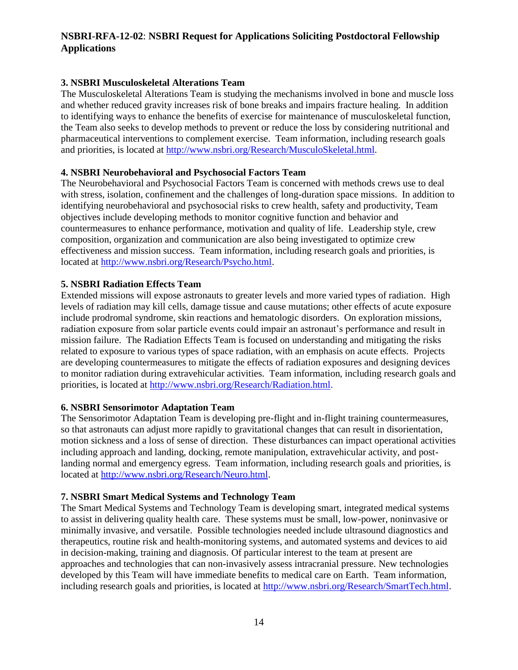### **3. NSBRI Musculoskeletal Alterations Team**

The Musculoskeletal Alterations Team is studying the mechanisms involved in bone and muscle loss and whether reduced gravity increases risk of bone breaks and impairs fracture healing. In addition to identifying ways to enhance the benefits of exercise for maintenance of musculoskeletal function, the Team also seeks to develop methods to prevent or reduce the loss by considering nutritional and pharmaceutical interventions to complement exercise. Team information, including research goals and priorities, is located at [http://www.nsbri.org/Research/MusculoSkeletal.html.](http://www.nsbri.org/Research/MusculoSkeletal.html)

### **4. NSBRI Neurobehavioral and Psychosocial Factors Team**

The Neurobehavioral and Psychosocial Factors Team is concerned with methods crews use to deal with stress, isolation, confinement and the challenges of long-duration space missions. In addition to identifying neurobehavioral and psychosocial risks to crew health, safety and productivity, Team objectives include developing methods to monitor cognitive function and behavior and countermeasures to enhance performance, motivation and quality of life. Leadership style, crew composition, organization and communication are also being investigated to optimize crew effectiveness and mission success. Team information, including research goals and priorities, is located at [http://www.nsbri.org/Research/Psycho.html.](http://www.nsbri.org/Research/Psycho.html)

### **5. NSBRI Radiation Effects Team**

Extended missions will expose astronauts to greater levels and more varied types of radiation. High levels of radiation may kill cells, damage tissue and cause mutations; other effects of acute exposure include prodromal syndrome, skin reactions and hematologic disorders. On exploration missions, radiation exposure from solar particle events could impair an astronaut's performance and result in mission failure. The Radiation Effects Team is focused on understanding and mitigating the risks related to exposure to various types of space radiation, with an emphasis on acute effects. Projects are developing countermeasures to mitigate the effects of radiation exposures and designing devices to monitor radiation during extravehicular activities. Team information, including research goals and priorities, is located at [http://www.nsbri.org/Research/Radiation.html.](http://www.nsbri.org/Research/Radiation.html)

### **6. NSBRI Sensorimotor Adaptation Team**

The Sensorimotor Adaptation Team is developing pre-flight and in-flight training countermeasures, so that astronauts can adjust more rapidly to gravitational changes that can result in disorientation, motion sickness and a loss of sense of direction. These disturbances can impact operational activities including approach and landing, docking, remote manipulation, extravehicular activity, and postlanding normal and emergency egress. Team information, including research goals and priorities, is located at [http://www.nsbri.org/Research/Neuro.html.](http://www.nsbri.org/Research/Neuro.html)

### **7. NSBRI Smart Medical Systems and Technology Team**

The Smart Medical Systems and Technology Team is developing smart, integrated medical systems to assist in delivering quality health care. These systems must be small, low-power, noninvasive or minimally invasive, and versatile. Possible technologies needed include ultrasound diagnostics and therapeutics, routine risk and health-monitoring systems, and automated systems and devices to aid in decision-making, training and diagnosis. Of particular interest to the team at present are approaches and technologies that can non-invasively assess intracranial pressure. New technologies developed by this Team will have immediate benefits to medical care on Earth. Team information, including research goals and priorities, is located at [http://www.nsbri.org/Research/SmartTech.html.](http://www.nsbri.org/Research/SmartTech.html)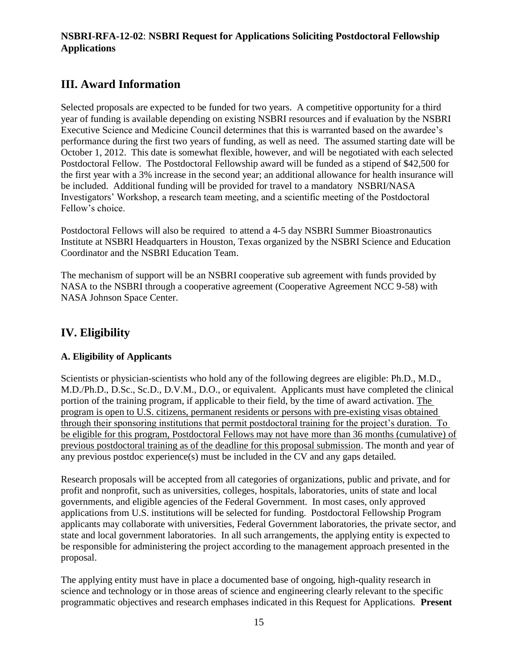# **III. Award Information**

Selected proposals are expected to be funded for two years. A competitive opportunity for a third year of funding is available depending on existing NSBRI resources and if evaluation by the NSBRI Executive Science and Medicine Council determines that this is warranted based on the awardee's performance during the first two years of funding, as well as need. The assumed starting date will be October 1, 2012. This date is somewhat flexible, however, and will be negotiated with each selected Postdoctoral Fellow. The Postdoctoral Fellowship award will be funded as a stipend of \$42,500 for the first year with a 3% increase in the second year; an additional allowance for health insurance will be included. Additional funding will be provided for travel to a mandatory NSBRI/NASA Investigators' Workshop, a research team meeting, and a scientific meeting of the Postdoctoral Fellow's choice.

Postdoctoral Fellows will also be required to attend a 4-5 day NSBRI Summer Bioastronautics Institute at NSBRI Headquarters in Houston, Texas organized by the NSBRI Science and Education Coordinator and the NSBRI Education Team.

The mechanism of support will be an NSBRI cooperative sub agreement with funds provided by NASA to the NSBRI through a cooperative agreement (Cooperative Agreement NCC 9-58) with NASA Johnson Space Center.

# **IV. Eligibility**

### **A. Eligibility of Applicants**

Scientists or physician-scientists who hold any of the following degrees are eligible: Ph.D., M.D., M.D./Ph.D., D.Sc., Sc.D., D.V.M., D.O., or equivalent. Applicants must have completed the clinical portion of the training program, if applicable to their field, by the time of award activation. The program is open to U.S. citizens, permanent residents or persons with pre-existing visas obtained through their sponsoring institutions that permit postdoctoral training for the project's duration. To be eligible for this program, Postdoctoral Fellows may not have more than 36 months (cumulative) of previous postdoctoral training as of the deadline for this proposal submission. The month and year of any previous postdoc experience(s) must be included in the CV and any gaps detailed.

Research proposals will be accepted from all categories of organizations, public and private, and for profit and nonprofit, such as universities, colleges, hospitals, laboratories, units of state and local governments, and eligible agencies of the Federal Government. In most cases, only approved applications from U.S. institutions will be selected for funding. Postdoctoral Fellowship Program applicants may collaborate with universities, Federal Government laboratories, the private sector, and state and local government laboratories. In all such arrangements, the applying entity is expected to be responsible for administering the project according to the management approach presented in the proposal.

The applying entity must have in place a documented base of ongoing, high-quality research in science and technology or in those areas of science and engineering clearly relevant to the specific programmatic objectives and research emphases indicated in this Request for Applications. **Present**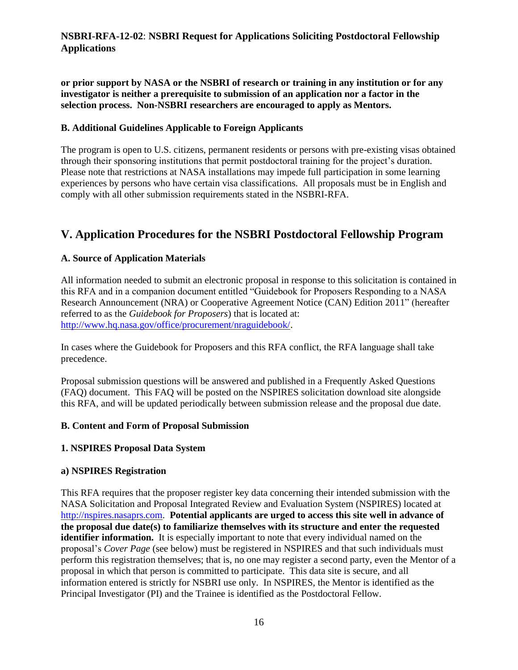**or prior support by NASA or the NSBRI of research or training in any institution or for any investigator is neither a prerequisite to submission of an application nor a factor in the selection process. Non-NSBRI researchers are encouraged to apply as Mentors.**

### **B. Additional Guidelines Applicable to Foreign Applicants**

The program is open to U.S. citizens, permanent residents or persons with pre-existing visas obtained through their sponsoring institutions that permit postdoctoral training for the project's duration. Please note that restrictions at NASA installations may impede full participation in some learning experiences by persons who have certain visa classifications. All proposals must be in English and comply with all other submission requirements stated in the NSBRI-RFA.

# **V. Application Procedures for the NSBRI Postdoctoral Fellowship Program**

### **A. Source of Application Materials**

All information needed to submit an electronic proposal in response to this solicitation is contained in this RFA and in a companion document entitled "Guidebook for Proposers Responding to a NASA Research Announcement (NRA) or Cooperative Agreement Notice (CAN) Edition 2011" (hereafter referred to as the *Guidebook for Proposers*) that is located at: [http://www.hq.nasa.gov/office/procurement/nraguidebook/.](http://www.hq.nasa.gov/office/procurement/nraguidebook/)

In cases where the Guidebook for Proposers and this RFA conflict, the RFA language shall take precedence.

Proposal submission questions will be answered and published in a Frequently Asked Questions (FAQ) document. This FAQ will be posted on the NSPIRES solicitation download site alongside this RFA, and will be updated periodically between submission release and the proposal due date.

### **B. Content and Form of Proposal Submission**

### **1. NSPIRES Proposal Data System**

### **a) NSPIRES Registration**

This RFA requires that the proposer register key data concerning their intended submission with the NASA Solicitation and Proposal Integrated Review and Evaluation System (NSPIRES) located at [http://nspires.nasaprs.com.](http://nspires.nasaprs.com/) **Potential applicants are urged to access this site well in advance of the proposal due date(s) to familiarize themselves with its structure and enter the requested identifier information.** It is especially important to note that every individual named on the proposal's *Cover Page* (see below) must be registered in NSPIRES and that such individuals must perform this registration themselves; that is, no one may register a second party, even the Mentor of a proposal in which that person is committed to participate. This data site is secure, and all information entered is strictly for NSBRI use only. In NSPIRES, the Mentor is identified as the Principal Investigator (PI) and the Trainee is identified as the Postdoctoral Fellow.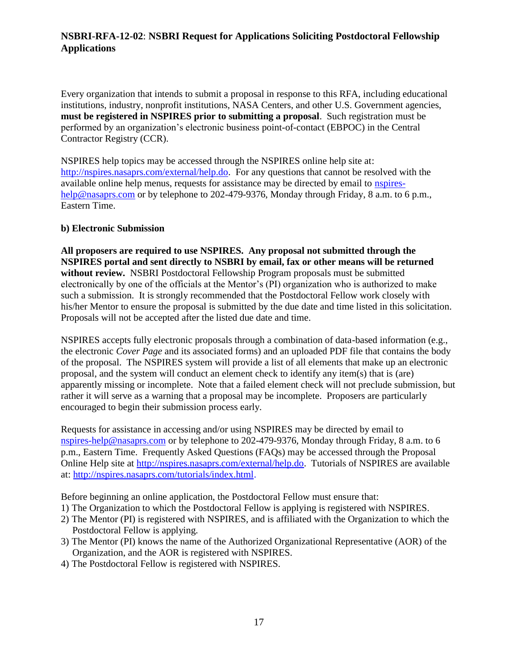Every organization that intends to submit a proposal in response to this RFA, including educational institutions, industry, nonprofit institutions, NASA Centers, and other U.S. Government agencies, **must be registered in NSPIRES prior to submitting a proposal**. Such registration must be performed by an organization's electronic business point-of-contact (EBPOC) in the Central Contractor Registry (CCR).

NSPIRES help topics may be accessed through the NSPIRES online help site at: [http://nspires.nasaprs.com/external/help.do.](http://nspires.nasaprs.com/external/help.do) For any questions that cannot be resolved with the available online help menus, requests for assistance may be directed by email to [nspires](mailto:nspires-help@nasaprs.com)[help@nasaprs.com](mailto:nspires-help@nasaprs.com) or by telephone to 202-479-9376, Monday through Friday, 8 a.m. to 6 p.m., Eastern Time.

### **b) Electronic Submission**

**All proposers are required to use NSPIRES. Any proposal not submitted through the NSPIRES portal and sent directly to NSBRI by email, fax or other means will be returned without review.** NSBRI Postdoctoral Fellowship Program proposals must be submitted electronically by one of the officials at the Mentor's (PI) organization who is authorized to make such a submission. It is strongly recommended that the Postdoctoral Fellow work closely with his/her Mentor to ensure the proposal is submitted by the due date and time listed in this solicitation. Proposals will not be accepted after the listed due date and time.

NSPIRES accepts fully electronic proposals through a combination of data-based information (e.g., the electronic *Cover Page* and its associated forms) and an uploaded PDF file that contains the body of the proposal. The NSPIRES system will provide a list of all elements that make up an electronic proposal, and the system will conduct an element check to identify any item(s) that is (are) apparently missing or incomplete. Note that a failed element check will not preclude submission, but rather it will serve as a warning that a proposal may be incomplete. Proposers are particularly encouraged to begin their submission process early.

Requests for assistance in accessing and/or using NSPIRES may be directed by email to [nspires-help@nasaprs.com](mailto:nspires-help@nasaprs.com) or by telephone to 202-479-9376, Monday through Friday, 8 a.m. to 6 p.m., Eastern Time. Frequently Asked Questions (FAQs) may be accessed through the Proposal Online Help site at [http://nspires.nasaprs.com/external/help.do.](http://nspires.nasaprs.com/external/help.do) Tutorials of NSPIRES are available at: [http://nspires.nasaprs.com/tutorials/index.html.](http://nspires.nasaprs.com/tutorials/index.html)

Before beginning an online application, the Postdoctoral Fellow must ensure that:

- 1) The Organization to which the Postdoctoral Fellow is applying is registered with NSPIRES.
- 2) The Mentor (PI) is registered with NSPIRES, and is affiliated with the Organization to which the Postdoctoral Fellow is applying.
- 3) The Mentor (PI) knows the name of the Authorized Organizational Representative (AOR) of the Organization, and the AOR is registered with NSPIRES.
- 4) The Postdoctoral Fellow is registered with NSPIRES.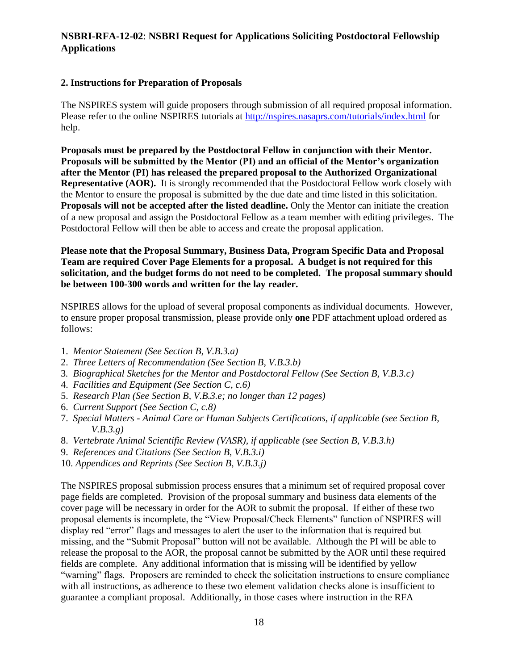### **2. Instructions for Preparation of Proposals**

The NSPIRES system will guide proposers through submission of all required proposal information. Please refer to the online NSPIRES tutorials at<http://nspires.nasaprs.com/tutorials/index.html> for help.

**Proposals must be prepared by the Postdoctoral Fellow in conjunction with their Mentor. Proposals will be submitted by the Mentor (PI) and an official of the Mentor's organization after the Mentor (PI) has released the prepared proposal to the Authorized Organizational Representative (AOR).** It is strongly recommended that the Postdoctoral Fellow work closely with the Mentor to ensure the proposal is submitted by the due date and time listed in this solicitation. **Proposals will not be accepted after the listed deadline.** Only the Mentor can initiate the creation of a new proposal and assign the Postdoctoral Fellow as a team member with editing privileges. The Postdoctoral Fellow will then be able to access and create the proposal application.

**Please note that the Proposal Summary, Business Data, Program Specific Data and Proposal Team are required Cover Page Elements for a proposal. A budget is not required for this solicitation, and the budget forms do not need to be completed. The proposal summary should be between 100-300 words and written for the lay reader.**

NSPIRES allows for the upload of several proposal components as individual documents. However, to ensure proper proposal transmission, please provide only **one** PDF attachment upload ordered as follows:

- 1. *Mentor Statement (See Section B, V.B.3.a)*
- 2. *Three Letters of Recommendation (See Section B, V.B.3.b)*
- 3*. Biographical Sketches for the Mentor and Postdoctoral Fellow (See Section B, V.B.3.c)*
- 4. *Facilities and Equipment (See Section C, c.6)*
- 5. *Research Plan (See Section B, V.B.3.e; no longer than 12 pages)*
- 6. *Current Support (See Section C, c.8)*
- 7. *Special Matters - Animal Care or Human Subjects Certifications, if applicable (see Section B, V.B.3.g)*
- 8. *Vertebrate Animal Scientific Review (VASR), if applicable (see Section B, V.B.3.h)*
- 9. *References and Citations (See Section B, V.B.3.i)*
- 10. *Appendices and Reprints (See Section B, V.B.3.j)*

The NSPIRES proposal submission process ensures that a minimum set of required proposal cover page fields are completed. Provision of the proposal summary and business data elements of the cover page will be necessary in order for the AOR to submit the proposal. If either of these two proposal elements is incomplete, the "View Proposal/Check Elements" function of NSPIRES will display red "error" flags and messages to alert the user to the information that is required but missing, and the "Submit Proposal" button will not be available. Although the PI will be able to release the proposal to the AOR, the proposal cannot be submitted by the AOR until these required fields are complete. Any additional information that is missing will be identified by yellow "warning" flags. Proposers are reminded to check the solicitation instructions to ensure compliance with all instructions, as adherence to these two element validation checks alone is insufficient to guarantee a compliant proposal. Additionally, in those cases where instruction in the RFA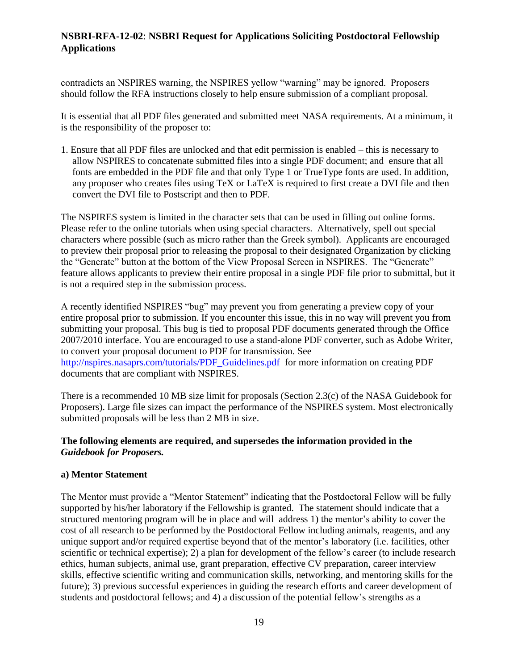contradicts an NSPIRES warning, the NSPIRES yellow "warning" may be ignored. Proposers should follow the RFA instructions closely to help ensure submission of a compliant proposal.

It is essential that all PDF files generated and submitted meet NASA requirements. At a minimum, it is the responsibility of the proposer to:

1. Ensure that all PDF files are unlocked and that edit permission is enabled – this is necessary to allow NSPIRES to concatenate submitted files into a single PDF document; and ensure that all fonts are embedded in the PDF file and that only Type 1 or TrueType fonts are used. In addition, any proposer who creates files using TeX or LaTeX is required to first create a DVI file and then convert the DVI file to Postscript and then to PDF.

The NSPIRES system is limited in the character sets that can be used in filling out online forms. Please refer to the online tutorials when using special characters. Alternatively, spell out special characters where possible (such as micro rather than the Greek symbol). Applicants are encouraged to preview their proposal prior to releasing the proposal to their designated Organization by clicking the "Generate" button at the bottom of the View Proposal Screen in NSPIRES. The "Generate" feature allows applicants to preview their entire proposal in a single PDF file prior to submittal, but it is not a required step in the submission process.

A recently identified NSPIRES "bug" may prevent you from generating a preview copy of your entire proposal prior to submission. If you encounter this issue, this in no way will prevent you from submitting your proposal. This bug is tied to proposal PDF documents generated through the Office 2007/2010 interface. You are encouraged to use a stand-alone PDF converter, such as Adobe Writer, to convert your proposal document to PDF for transmission. See [http://nspires.nasaprs.com/tutorials/PDF\\_Guidelines.pdf](http://nspires.nasaprs.com/tutorials/PDF_Guidelines.pdf) for more information on creating PDF documents that are compliant with NSPIRES.

There is a recommended 10 MB size limit for proposals (Section 2.3(c) of the NASA Guidebook for Proposers). Large file sizes can impact the performance of the NSPIRES system. Most electronically submitted proposals will be less than 2 MB in size.

### **The following elements are required, and supersedes the information provided in the**  *Guidebook for Proposers.*

### **a) Mentor Statement**

The Mentor must provide a "Mentor Statement" indicating that the Postdoctoral Fellow will be fully supported by his/her laboratory if the Fellowship is granted. The statement should indicate that a structured mentoring program will be in place and will address 1) the mentor's ability to cover the cost of all research to be performed by the Postdoctoral Fellow including animals, reagents, and any unique support and/or required expertise beyond that of the mentor's laboratory (i.e. facilities, other scientific or technical expertise); 2) a plan for development of the fellow's career (to include research ethics, human subjects, animal use, grant preparation, effective CV preparation, career interview skills, effective scientific writing and communication skills, networking, and mentoring skills for the future); 3) previous successful experiences in guiding the research efforts and career development of students and postdoctoral fellows; and 4) a discussion of the potential fellow's strengths as a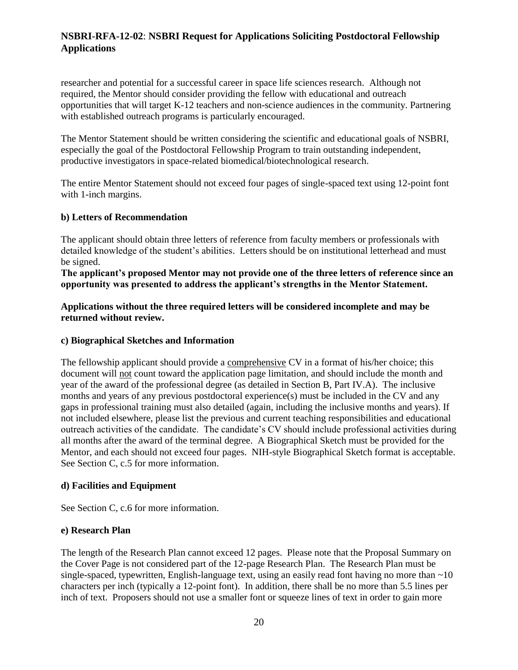researcher and potential for a successful career in space life sciences research. Although not required, the Mentor should consider providing the fellow with educational and outreach opportunities that will target K-12 teachers and non-science audiences in the community. Partnering with established outreach programs is particularly encouraged.

The Mentor Statement should be written considering the scientific and educational goals of NSBRI, especially the goal of the Postdoctoral Fellowship Program to train outstanding independent, productive investigators in space-related biomedical/biotechnological research.

The entire Mentor Statement should not exceed four pages of single-spaced text using 12-point font with 1-inch margins.

#### **b) Letters of Recommendation**

The applicant should obtain three letters of reference from faculty members or professionals with detailed knowledge of the student's abilities. Letters should be on institutional letterhead and must be signed.

**The applicant's proposed Mentor may not provide one of the three letters of reference since an opportunity was presented to address the applicant's strengths in the Mentor Statement.** 

**Applications without the three required letters will be considered incomplete and may be returned without review.**

#### **c) Biographical Sketches and Information**

The fellowship applicant should provide a comprehensive CV in a format of his/her choice; this document will not count toward the application page limitation, and should include the month and year of the award of the professional degree (as detailed in Section B, Part IV.A). The inclusive months and years of any previous postdoctoral experience(s) must be included in the CV and any gaps in professional training must also detailed (again, including the inclusive months and years). If not included elsewhere, please list the previous and current teaching responsibilities and educational outreach activities of the candidate. The candidate's CV should include professional activities during all months after the award of the terminal degree. A Biographical Sketch must be provided for the Mentor, and each should not exceed four pages. NIH-style Biographical Sketch format is acceptable. See Section C, c.5 for more information.

### **d) Facilities and Equipment**

See Section C, c.6 for more information.

### **e) Research Plan**

The length of the Research Plan cannot exceed 12 pages. Please note that the Proposal Summary on the Cover Page is not considered part of the 12-page Research Plan. The Research Plan must be single-spaced, typewritten, English-language text, using an easily read font having no more than  $\sim 10$ characters per inch (typically a 12-point font). In addition, there shall be no more than 5.5 lines per inch of text. Proposers should not use a smaller font or squeeze lines of text in order to gain more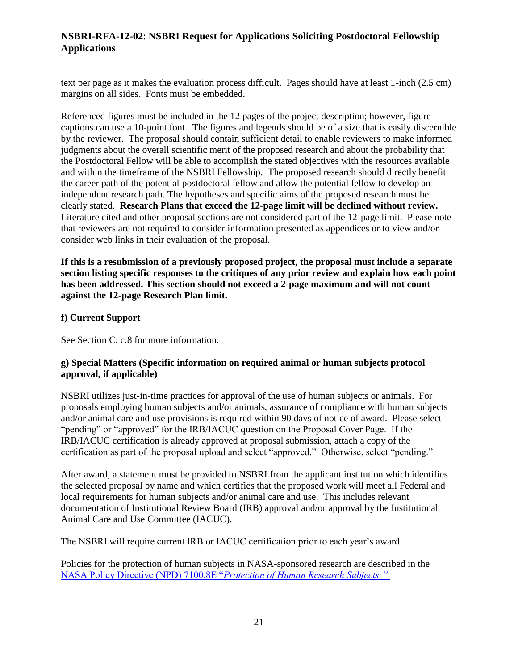text per page as it makes the evaluation process difficult. Pages should have at least 1-inch (2.5 cm) margins on all sides. Fonts must be embedded.

Referenced figures must be included in the 12 pages of the project description; however, figure captions can use a 10-point font. The figures and legends should be of a size that is easily discernible by the reviewer. The proposal should contain sufficient detail to enable reviewers to make informed judgments about the overall scientific merit of the proposed research and about the probability that the Postdoctoral Fellow will be able to accomplish the stated objectives with the resources available and within the timeframe of the NSBRI Fellowship. The proposed research should directly benefit the career path of the potential postdoctoral fellow and allow the potential fellow to develop an independent research path. The hypotheses and specific aims of the proposed research must be clearly stated. **Research Plans that exceed the 12-page limit will be declined without review.**  Literature cited and other proposal sections are not considered part of the 12-page limit. Please note that reviewers are not required to consider information presented as appendices or to view and/or consider web links in their evaluation of the proposal.

**If this is a resubmission of a previously proposed project, the proposal must include a separate section listing specific responses to the critiques of any prior review and explain how each point has been addressed. This section should not exceed a 2-page maximum and will not count against the 12-page Research Plan limit.** 

### **f) Current Support**

See Section C, c.8 for more information.

### **g) Special Matters (Specific information on required animal or human subjects protocol approval, if applicable)**

NSBRI utilizes just-in-time practices for approval of the use of human subjects or animals. For proposals employing human subjects and/or animals, assurance of compliance with human subjects and/or animal care and use provisions is required within 90 days of notice of award. Please select "pending" or "approved" for the IRB/IACUC question on the Proposal Cover Page. If the IRB/IACUC certification is already approved at proposal submission, attach a copy of the certification as part of the proposal upload and select "approved." Otherwise, select "pending."

After award, a statement must be provided to NSBRI from the applicant institution which identifies the selected proposal by name and which certifies that the proposed work will meet all Federal and local requirements for human subjects and/or animal care and use. This includes relevant documentation of Institutional Review Board (IRB) approval and/or approval by the Institutional Animal Care and Use Committee (IACUC).

The NSBRI will require current IRB or IACUC certification prior to each year's award.

Policies for the protection of human subjects in NASA-sponsored research are described in the NASA Policy Directive (NPD) 7100.8E "*[Protection of Human Research Subjects:"](http://nodis3.gsfc.nasa.gov/npg_img/N_PD_7100_008E_/N_PD_7100_008E__main.pdf)*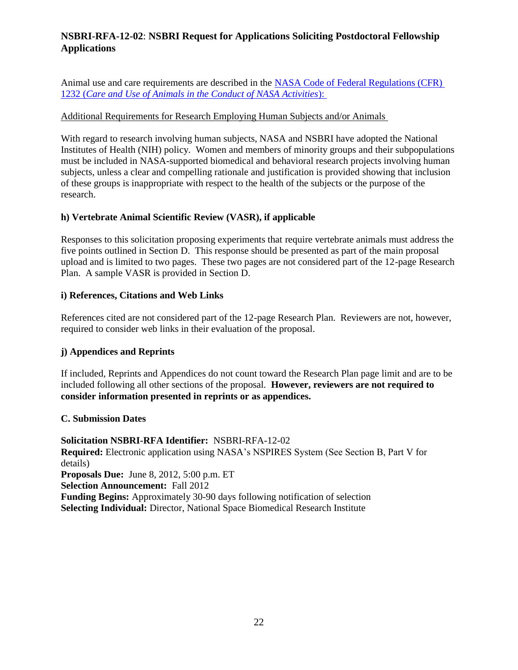Animal use and care requirements are described in the [NASA Code of Federal Regulations \(CFR\)](http://ecfr.gpoaccess.gov/cgi/t/text/text-idx?c=ecfr;sid=282613b7928a4863f83c757c6e76a41e;rgn=div5;view=text;node=14%3A5.0.1.1.21;idno=14;cc=ecfr)  1232 (*[Care and Use of Animals in the Conduct of NASA Activities](http://ecfr.gpoaccess.gov/cgi/t/text/text-idx?c=ecfr;sid=282613b7928a4863f83c757c6e76a41e;rgn=div5;view=text;node=14%3A5.0.1.1.21;idno=14;cc=ecfr)*):

### Additional Requirements for Research Employing Human Subjects and/or Animals

With regard to research involving human subjects, NASA and NSBRI have adopted the National Institutes of Health (NIH) policy. Women and members of minority groups and their subpopulations must be included in NASA-supported biomedical and behavioral research projects involving human subjects, unless a clear and compelling rationale and justification is provided showing that inclusion of these groups is inappropriate with respect to the health of the subjects or the purpose of the research.

### **h) Vertebrate Animal Scientific Review (VASR), if applicable**

Responses to this solicitation proposing experiments that require vertebrate animals must address the five points outlined in Section D. This response should be presented as part of the main proposal upload and is limited to two pages. These two pages are not considered part of the 12-page Research Plan. A sample VASR is provided in Section D.

#### **i) References, Citations and Web Links**

References cited are not considered part of the 12-page Research Plan. Reviewers are not, however, required to consider web links in their evaluation of the proposal.

### **j) Appendices and Reprints**

If included, Reprints and Appendices do not count toward the Research Plan page limit and are to be included following all other sections of the proposal. **However, reviewers are not required to consider information presented in reprints or as appendices.**

#### **C. Submission Dates**

**Solicitation NSBRI-RFA Identifier:** NSBRI-RFA-12-02 **Required:** Electronic application using NASA's NSPIRES System (See Section B, Part V for details) **Proposals Due:** June 8, 2012, 5:00 p.m. ET **Selection Announcement:** Fall 2012 **Funding Begins:** Approximately 30-90 days following notification of selection **Selecting Individual:** Director, National Space Biomedical Research Institute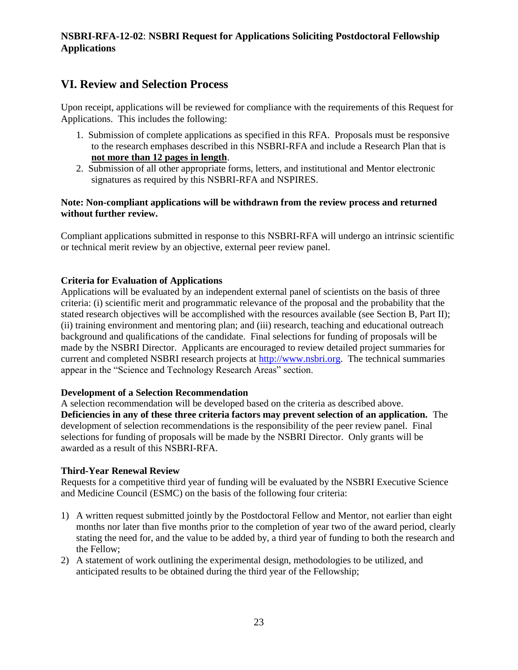# **VI. Review and Selection Process**

Upon receipt, applications will be reviewed for compliance with the requirements of this Request for Applications. This includes the following:

- 1. Submission of complete applications as specified in this RFA. Proposals must be responsive to the research emphases described in this NSBRI-RFA and include a Research Plan that is **not more than 12 pages in length**.
- 2. Submission of all other appropriate forms, letters, and institutional and Mentor electronic signatures as required by this NSBRI-RFA and NSPIRES.

### **Note: Non-compliant applications will be withdrawn from the review process and returned without further review.**

Compliant applications submitted in response to this NSBRI-RFA will undergo an intrinsic scientific or technical merit review by an objective, external peer review panel.

### **Criteria for Evaluation of Applications**

Applications will be evaluated by an independent external panel of scientists on the basis of three criteria: (i) scientific merit and programmatic relevance of the proposal and the probability that the stated research objectives will be accomplished with the resources available (see Section B, Part II); (ii) training environment and mentoring plan; and (iii) research, teaching and educational outreach background and qualifications of the candidate. Final selections for funding of proposals will be made by the NSBRI Director. Applicants are encouraged to review detailed project summaries for current and completed NSBRI research projects at [http://www.nsbri.org.](http://www.nsbri.org/) The technical summaries appear in the "Science and Technology Research Areas" section.

### **Development of a Selection Recommendation**

A selection recommendation will be developed based on the criteria as described above. **Deficiencies in any of these three criteria factors may prevent selection of an application.** The development of selection recommendations is the responsibility of the peer review panel. Final selections for funding of proposals will be made by the NSBRI Director. Only grants will be awarded as a result of this NSBRI-RFA.

### **Third-Year Renewal Review**

Requests for a competitive third year of funding will be evaluated by the NSBRI Executive Science and Medicine Council (ESMC) on the basis of the following four criteria:

- 1) A written request submitted jointly by the Postdoctoral Fellow and Mentor, not earlier than eight months nor later than five months prior to the completion of year two of the award period, clearly stating the need for, and the value to be added by, a third year of funding to both the research and the Fellow;
- 2) A statement of work outlining the experimental design, methodologies to be utilized, and anticipated results to be obtained during the third year of the Fellowship;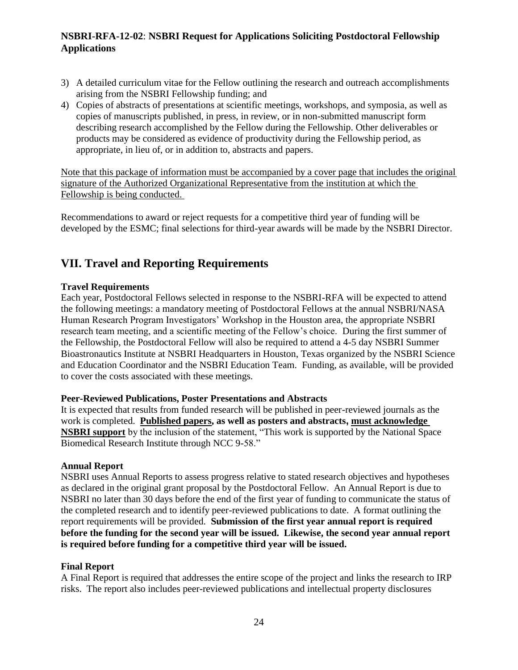- 3) A detailed curriculum vitae for the Fellow outlining the research and outreach accomplishments arising from the NSBRI Fellowship funding; and
- 4) Copies of abstracts of presentations at scientific meetings, workshops, and symposia, as well as copies of manuscripts published, in press, in review, or in non-submitted manuscript form describing research accomplished by the Fellow during the Fellowship. Other deliverables or products may be considered as evidence of productivity during the Fellowship period, as appropriate, in lieu of, or in addition to, abstracts and papers.

Note that this package of information must be accompanied by a cover page that includes the original signature of the Authorized Organizational Representative from the institution at which the Fellowship is being conducted.

Recommendations to award or reject requests for a competitive third year of funding will be developed by the ESMC; final selections for third-year awards will be made by the NSBRI Director.

# **VII. Travel and Reporting Requirements**

### **Travel Requirements**

Each year, Postdoctoral Fellows selected in response to the NSBRI-RFA will be expected to attend the following meetings: a mandatory meeting of Postdoctoral Fellows at the annual NSBRI/NASA Human Research Program Investigators' Workshop in the Houston area, the appropriate NSBRI research team meeting, and a scientific meeting of the Fellow's choice. During the first summer of the Fellowship, the Postdoctoral Fellow will also be required to attend a 4-5 day NSBRI Summer Bioastronautics Institute at NSBRI Headquarters in Houston, Texas organized by the NSBRI Science and Education Coordinator and the NSBRI Education Team. Funding, as available, will be provided to cover the costs associated with these meetings.

### **Peer-Reviewed Publications, Poster Presentations and Abstracts**

It is expected that results from funded research will be published in peer-reviewed journals as the work is completed. **Published papers, as well as posters and abstracts, must acknowledge NSBRI support** by the inclusion of the statement, "This work is supported by the National Space Biomedical Research Institute through NCC 9-58."

### **Annual Report**

NSBRI uses Annual Reports to assess progress relative to stated research objectives and hypotheses as declared in the original grant proposal by the Postdoctoral Fellow. An Annual Report is due to NSBRI no later than 30 days before the end of the first year of funding to communicate the status of the completed research and to identify peer-reviewed publications to date. A format outlining the report requirements will be provided. **Submission of the first year annual report is required before the funding for the second year will be issued. Likewise, the second year annual report is required before funding for a competitive third year will be issued.**

### **Final Report**

A Final Report is required that addresses the entire scope of the project and links the research to IRP risks. The report also includes peer-reviewed publications and intellectual property disclosures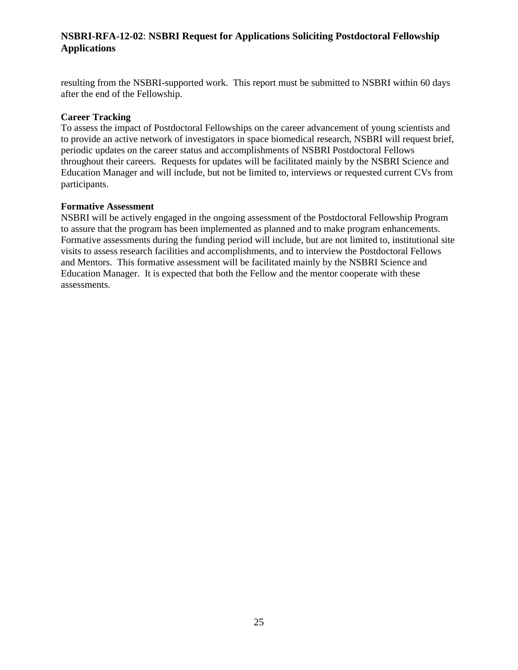resulting from the NSBRI-supported work. This report must be submitted to NSBRI within 60 days after the end of the Fellowship.

#### **Career Tracking**

To assess the impact of Postdoctoral Fellowships on the career advancement of young scientists and to provide an active network of investigators in space biomedical research, NSBRI will request brief, periodic updates on the career status and accomplishments of NSBRI Postdoctoral Fellows throughout their careers. Requests for updates will be facilitated mainly by the NSBRI Science and Education Manager and will include, but not be limited to, interviews or requested current CVs from participants.

#### **Formative Assessment**

NSBRI will be actively engaged in the ongoing assessment of the Postdoctoral Fellowship Program to assure that the program has been implemented as planned and to make program enhancements. Formative assessments during the funding period will include, but are not limited to, institutional site visits to assess research facilities and accomplishments, and to interview the Postdoctoral Fellows and Mentors. This formative assessment will be facilitated mainly by the NSBRI Science and Education Manager. It is expected that both the Fellow and the mentor cooperate with these assessments.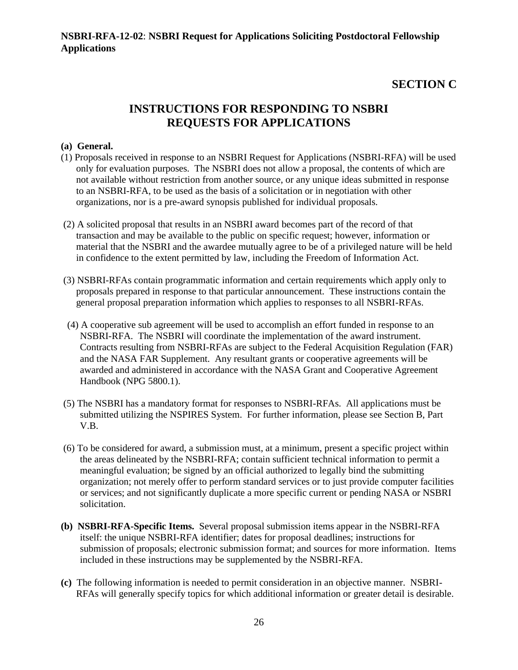# **SECTION C**

# **INSTRUCTIONS FOR RESPONDING TO NSBRI REQUESTS FOR APPLICATIONS**

#### **(a) General.**

- (1) Proposals received in response to an NSBRI Request for Applications (NSBRI-RFA) will be used only for evaluation purposes. The NSBRI does not allow a proposal, the contents of which are not available without restriction from another source, or any unique ideas submitted in response to an NSBRI-RFA, to be used as the basis of a solicitation or in negotiation with other organizations, nor is a pre-award synopsis published for individual proposals.
- (2) A solicited proposal that results in an NSBRI award becomes part of the record of that transaction and may be available to the public on specific request; however, information or material that the NSBRI and the awardee mutually agree to be of a privileged nature will be held in confidence to the extent permitted by law, including the Freedom of Information Act.
- (3) NSBRI-RFAs contain programmatic information and certain requirements which apply only to proposals prepared in response to that particular announcement. These instructions contain the general proposal preparation information which applies to responses to all NSBRI-RFAs.
- (4) A cooperative sub agreement will be used to accomplish an effort funded in response to an NSBRI-RFA. The NSBRI will coordinate the implementation of the award instrument. Contracts resulting from NSBRI-RFAs are subject to the Federal Acquisition Regulation (FAR) and the NASA FAR Supplement. Any resultant grants or cooperative agreements will be awarded and administered in accordance with the NASA Grant and Cooperative Agreement Handbook (NPG 5800.1).
- (5) The NSBRI has a mandatory format for responses to NSBRI-RFAs. All applications must be submitted utilizing the NSPIRES System. For further information, please see Section B, Part V.B.
- (6) To be considered for award, a submission must, at a minimum, present a specific project within the areas delineated by the NSBRI-RFA; contain sufficient technical information to permit a meaningful evaluation; be signed by an official authorized to legally bind the submitting organization; not merely offer to perform standard services or to just provide computer facilities or services; and not significantly duplicate a more specific current or pending NASA or NSBRI solicitation.
- **(b) NSBRI-RFA-Specific Items.** Several proposal submission items appear in the NSBRI-RFA itself: the unique NSBRI-RFA identifier; dates for proposal deadlines; instructions for submission of proposals; electronic submission format; and sources for more information. Items included in these instructions may be supplemented by the NSBRI-RFA.
- **(c)** The following information is needed to permit consideration in an objective manner. NSBRI-RFAs will generally specify topics for which additional information or greater detail is desirable.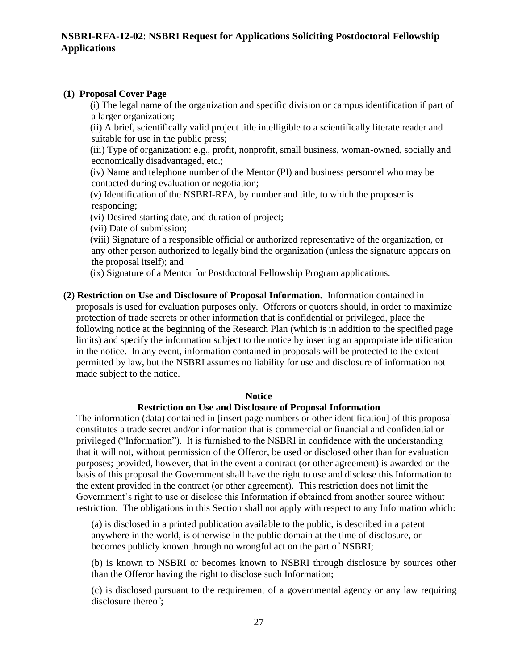#### **(1) Proposal Cover Page**

 (i) The legal name of the organization and specific division or campus identification if part of a larger organization;

 (ii) A brief, scientifically valid project title intelligible to a scientifically literate reader and suitable for use in the public press;

 (iii) Type of organization: e.g., profit, nonprofit, small business, woman-owned, socially and economically disadvantaged, etc.;

 (iv) Name and telephone number of the Mentor (PI) and business personnel who may be contacted during evaluation or negotiation;

 (v) Identification of the NSBRI-RFA, by number and title, to which the proposer is responding;

(vi) Desired starting date, and duration of project;

(vii) Date of submission;

 (viii) Signature of a responsible official or authorized representative of the organization, or any other person authorized to legally bind the organization (unless the signature appears on the proposal itself); and

(ix) Signature of a Mentor for Postdoctoral Fellowship Program applications.

**(2) Restriction on Use and Disclosure of Proposal Information.** Information contained in proposals is used for evaluation purposes only. Offerors or quoters should, in order to maximize protection of trade secrets or other information that is confidential or privileged, place the following notice at the beginning of the Research Plan (which is in addition to the specified page limits) and specify the information subject to the notice by inserting an appropriate identification in the notice. In any event, information contained in proposals will be protected to the extent permitted by law, but the NSBRI assumes no liability for use and disclosure of information not made subject to the notice.

#### **Notice**

#### **Restriction on Use and Disclosure of Proposal Information**

The information (data) contained in [insert page numbers or other identification] of this proposal constitutes a trade secret and/or information that is commercial or financial and confidential or privileged ("Information"). It is furnished to the NSBRI in confidence with the understanding that it will not, without permission of the Offeror, be used or disclosed other than for evaluation purposes; provided, however, that in the event a contract (or other agreement) is awarded on the basis of this proposal the Government shall have the right to use and disclose this Information to the extent provided in the contract (or other agreement). This restriction does not limit the Government's right to use or disclose this Information if obtained from another source without restriction. The obligations in this Section shall not apply with respect to any Information which:

(a) is disclosed in a printed publication available to the public, is described in a patent anywhere in the world, is otherwise in the public domain at the time of disclosure, or becomes publicly known through no wrongful act on the part of NSBRI;

(b) is known to NSBRI or becomes known to NSBRI through disclosure by sources other than the Offeror having the right to disclose such Information;

(c) is disclosed pursuant to the requirement of a governmental agency or any law requiring disclosure thereof;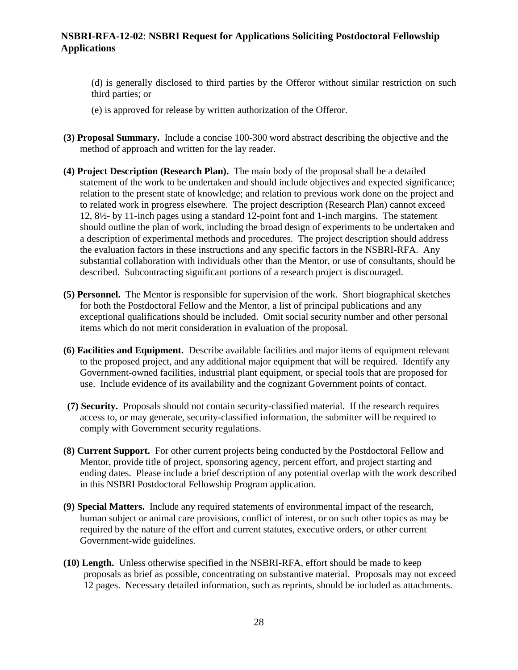(d) is generally disclosed to third parties by the Offeror without similar restriction on such third parties; or

- (e) is approved for release by written authorization of the Offeror.
- **(3) Proposal Summary.** Include a concise 100-300 word abstract describing the objective and the method of approach and written for the lay reader.
- **(4) Project Description (Research Plan).** The main body of the proposal shall be a detailed statement of the work to be undertaken and should include objectives and expected significance; relation to the present state of knowledge; and relation to previous work done on the project and to related work in progress elsewhere. The project description (Research Plan) cannot exceed 12, 8½- by 11-inch pages using a standard 12-point font and 1-inch margins. The statement should outline the plan of work, including the broad design of experiments to be undertaken and a description of experimental methods and procedures. The project description should address the evaluation factors in these instructions and any specific factors in the NSBRI-RFA. Any substantial collaboration with individuals other than the Mentor, or use of consultants, should be described. Subcontracting significant portions of a research project is discouraged.
- **(5) Personnel.** The Mentor is responsible for supervision of the work. Short biographical sketches for both the Postdoctoral Fellow and the Mentor, a list of principal publications and any exceptional qualifications should be included. Omit social security number and other personal items which do not merit consideration in evaluation of the proposal.
- **(6) Facilities and Equipment.** Describe available facilities and major items of equipment relevant to the proposed project, and any additional major equipment that will be required. Identify any Government-owned facilities, industrial plant equipment, or special tools that are proposed for use. Include evidence of its availability and the cognizant Government points of contact.
- **(7) Security.** Proposals should not contain security-classified material. If the research requires access to, or may generate, security-classified information, the submitter will be required to comply with Government security regulations.
- **(8) Current Support.** For other current projects being conducted by the Postdoctoral Fellow and Mentor, provide title of project, sponsoring agency, percent effort, and project starting and ending dates. Please include a brief description of any potential overlap with the work described in this NSBRI Postdoctoral Fellowship Program application.
- **(9) Special Matters.** Include any required statements of environmental impact of the research, human subject or animal care provisions, conflict of interest, or on such other topics as may be required by the nature of the effort and current statutes, executive orders, or other current Government-wide guidelines.
- **(10) Length.** Unless otherwise specified in the NSBRI-RFA, effort should be made to keep proposals as brief as possible, concentrating on substantive material. Proposals may not exceed 12 pages. Necessary detailed information, such as reprints, should be included as attachments.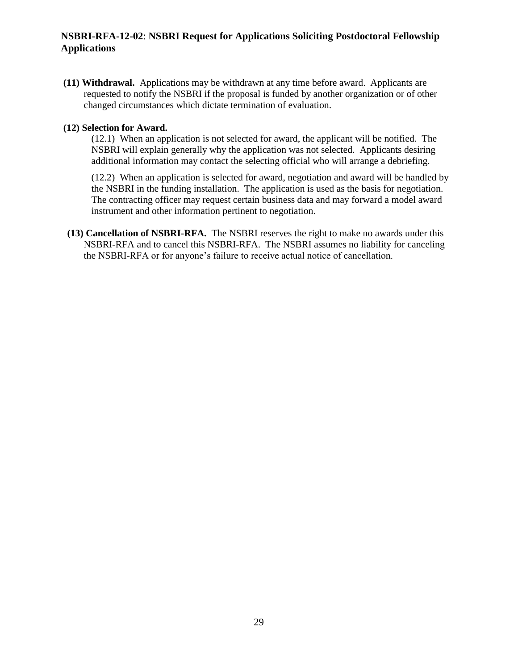**(11) Withdrawal.** Applications may be withdrawn at any time before award. Applicants are requested to notify the NSBRI if the proposal is funded by another organization or of other changed circumstances which dictate termination of evaluation.

#### **(12) Selection for Award.**

(12.1) When an application is not selected for award, the applicant will be notified. The NSBRI will explain generally why the application was not selected. Applicants desiring additional information may contact the selecting official who will arrange a debriefing.

(12.2) When an application is selected for award, negotiation and award will be handled by the NSBRI in the funding installation. The application is used as the basis for negotiation. The contracting officer may request certain business data and may forward a model award instrument and other information pertinent to negotiation.

**(13) Cancellation of NSBRI-RFA.** The NSBRI reserves the right to make no awards under this NSBRI-RFA and to cancel this NSBRI-RFA. The NSBRI assumes no liability for canceling the NSBRI-RFA or for anyone's failure to receive actual notice of cancellation.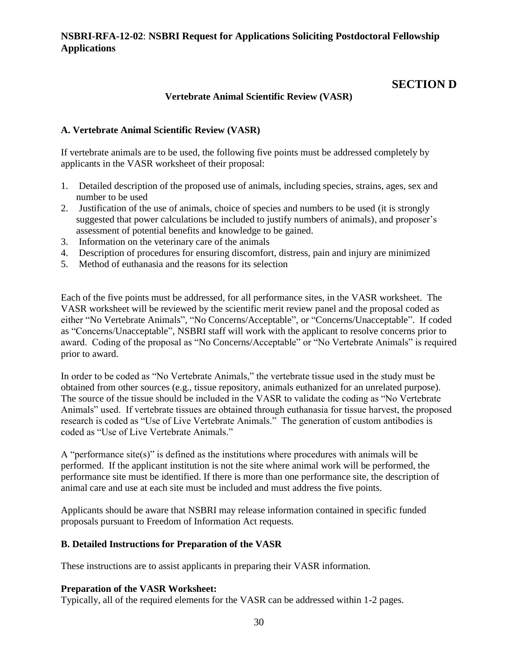## **SECTION D**

### **Vertebrate Animal Scientific Review (VASR)**

### **A. Vertebrate Animal Scientific Review (VASR)**

If vertebrate animals are to be used, the following five points must be addressed completely by applicants in the VASR worksheet of their proposal:

- 1. Detailed description of the proposed use of animals, including species, strains, ages, sex and number to be used
- 2. Justification of the use of animals, choice of species and numbers to be used (it is strongly suggested that power calculations be included to justify numbers of animals), and proposer's assessment of potential benefits and knowledge to be gained.
- 3. Information on the veterinary care of the animals
- 4. Description of procedures for ensuring discomfort, distress, pain and injury are minimized
- 5. Method of euthanasia and the reasons for its selection

Each of the five points must be addressed, for all performance sites, in the VASR worksheet. The VASR worksheet will be reviewed by the scientific merit review panel and the proposal coded as either "No Vertebrate Animals", "No Concerns/Acceptable", or "Concerns/Unacceptable". If coded as "Concerns/Unacceptable", NSBRI staff will work with the applicant to resolve concerns prior to award. Coding of the proposal as "No Concerns/Acceptable" or "No Vertebrate Animals" is required prior to award.

In order to be coded as "No Vertebrate Animals," the vertebrate tissue used in the study must be obtained from other sources (e.g., tissue repository, animals euthanized for an unrelated purpose). The source of the tissue should be included in the VASR to validate the coding as "No Vertebrate Animals" used. If vertebrate tissues are obtained through euthanasia for tissue harvest, the proposed research is coded as "Use of Live Vertebrate Animals." The generation of custom antibodies is coded as "Use of Live Vertebrate Animals."

A "performance site(s)" is defined as the institutions where procedures with animals will be performed. If the applicant institution is not the site where animal work will be performed, the performance site must be identified. If there is more than one performance site, the description of animal care and use at each site must be included and must address the five points.

Applicants should be aware that NSBRI may release information contained in specific funded proposals pursuant to Freedom of Information Act requests.

### **B. Detailed Instructions for Preparation of the VASR**

These instructions are to assist applicants in preparing their VASR information.

### **Preparation of the VASR Worksheet:**

Typically, all of the required elements for the VASR can be addressed within 1-2 pages.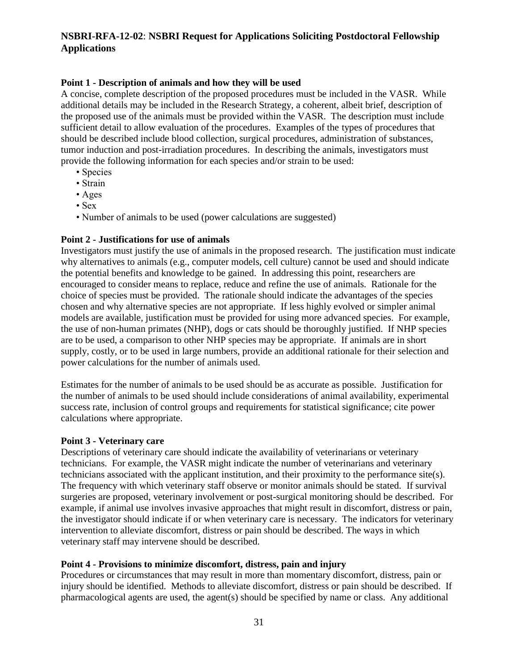#### **Point 1 - Description of animals and how they will be used**

A concise, complete description of the proposed procedures must be included in the VASR. While additional details may be included in the Research Strategy, a coherent, albeit brief, description of the proposed use of the animals must be provided within the VASR. The description must include sufficient detail to allow evaluation of the procedures. Examples of the types of procedures that should be described include blood collection, surgical procedures, administration of substances, tumor induction and post-irradiation procedures. In describing the animals, investigators must provide the following information for each species and/or strain to be used:

- Species
- Strain
- Ages
- Sex
- Number of animals to be used (power calculations are suggested)

#### **Point 2 - Justifications for use of animals**

Investigators must justify the use of animals in the proposed research. The justification must indicate why alternatives to animals (e.g., computer models, cell culture) cannot be used and should indicate the potential benefits and knowledge to be gained. In addressing this point, researchers are encouraged to consider means to replace, reduce and refine the use of animals. Rationale for the choice of species must be provided. The rationale should indicate the advantages of the species chosen and why alternative species are not appropriate. If less highly evolved or simpler animal models are available, justification must be provided for using more advanced species. For example, the use of non-human primates (NHP), dogs or cats should be thoroughly justified. If NHP species are to be used, a comparison to other NHP species may be appropriate. If animals are in short supply, costly, or to be used in large numbers, provide an additional rationale for their selection and power calculations for the number of animals used.

Estimates for the number of animals to be used should be as accurate as possible. Justification for the number of animals to be used should include considerations of animal availability, experimental success rate, inclusion of control groups and requirements for statistical significance; cite power calculations where appropriate.

#### **Point 3 - Veterinary care**

Descriptions of veterinary care should indicate the availability of veterinarians or veterinary technicians. For example, the VASR might indicate the number of veterinarians and veterinary technicians associated with the applicant institution, and their proximity to the performance site(s). The frequency with which veterinary staff observe or monitor animals should be stated. If survival surgeries are proposed, veterinary involvement or post-surgical monitoring should be described. For example, if animal use involves invasive approaches that might result in discomfort, distress or pain, the investigator should indicate if or when veterinary care is necessary. The indicators for veterinary intervention to alleviate discomfort, distress or pain should be described. The ways in which veterinary staff may intervene should be described.

#### **Point 4 - Provisions to minimize discomfort, distress, pain and injury**

Procedures or circumstances that may result in more than momentary discomfort, distress, pain or injury should be identified. Methods to alleviate discomfort, distress or pain should be described. If pharmacological agents are used, the agent(s) should be specified by name or class. Any additional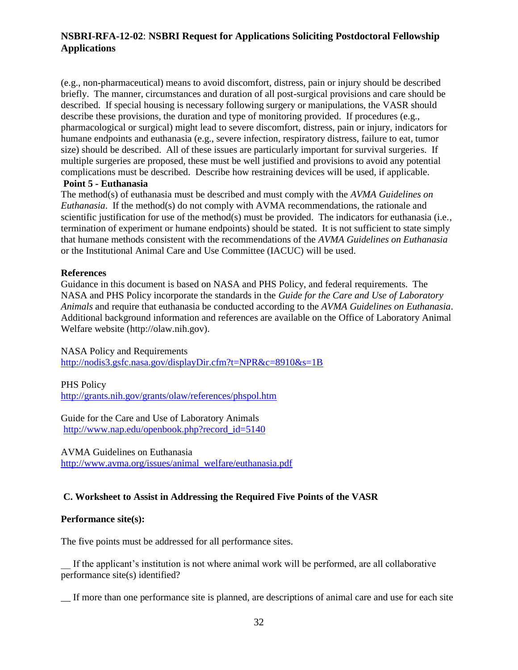(e.g., non-pharmaceutical) means to avoid discomfort, distress, pain or injury should be described briefly. The manner, circumstances and duration of all post-surgical provisions and care should be described. If special housing is necessary following surgery or manipulations, the VASR should describe these provisions, the duration and type of monitoring provided. If procedures (e.g., pharmacological or surgical) might lead to severe discomfort, distress, pain or injury, indicators for humane endpoints and euthanasia (e.g., severe infection, respiratory distress, failure to eat, tumor size) should be described. All of these issues are particularly important for survival surgeries. If multiple surgeries are proposed, these must be well justified and provisions to avoid any potential complications must be described. Describe how restraining devices will be used, if applicable.

#### **Point 5 - Euthanasia**

The method(s) of euthanasia must be described and must comply with the *AVMA Guidelines on Euthanasia*. If the method(s) do not comply with AVMA recommendations, the rationale and scientific justification for use of the method(s) must be provided. The indicators for euthanasia (i.e., termination of experiment or humane endpoints) should be stated. It is not sufficient to state simply that humane methods consistent with the recommendations of the *AVMA Guidelines on Euthanasia*  or the Institutional Animal Care and Use Committee (IACUC) will be used.

#### **References**

Guidance in this document is based on NASA and PHS Policy, and federal requirements. The NASA and PHS Policy incorporate the standards in the *Guide for the Care and Use of Laboratory Animals* and require that euthanasia be conducted according to the *AVMA Guidelines on Euthanasia*. Additional background information and references are available on the Office of Laboratory Animal Welfare website [\(http://olaw.nih.gov\)](http://olaw.nih.gov/).

NASA Policy and Requirements

<http://nodis3.gsfc.nasa.gov/displayDir.cfm?t=NPR&c=8910&s=1B>

PHS Policy

<http://grants.nih.gov/grants/olaw/references/phspol.htm>

Guide for the Care and Use of Laboratory Animals [http://www.nap.edu/openbook.php?record\\_id=5140](http://www.nap.edu/openbook.php?record_id=5140)

AVMA Guidelines on Euthanasia

[http://www.avma.org/issues/animal\\_welfare/euthanasia.pdf](http://www.avma.org/issues/animal_welfare/euthanasia.pdf)

#### **C. Worksheet to Assist in Addressing the Required Five Points of the VASR**

#### **Performance site(s):**

The five points must be addressed for all performance sites.

If the applicant's institution is not where animal work will be performed, are all collaborative performance site(s) identified?

\_\_ If more than one performance site is planned, are descriptions of animal care and use for each site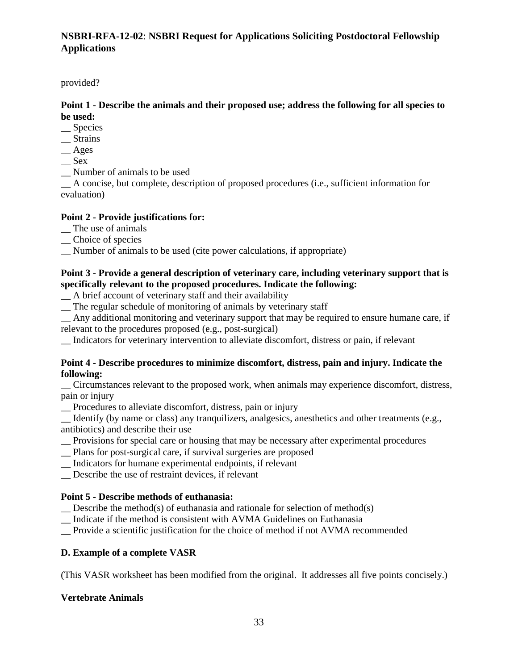provided?

### **Point 1 - Describe the animals and their proposed use; address the following for all species to be used:**

- \_\_ Species
- \_\_ Strains
- \_\_ Ages
- $\mathcal{S}$ ex
- \_\_ Number of animals to be used

\_\_ A concise, but complete, description of proposed procedures (i.e., sufficient information for evaluation)

### **Point 2 - Provide justifications for:**

- \_\_ The use of animals
- \_\_ Choice of species
- \_\_ Number of animals to be used (cite power calculations, if appropriate)

### **Point 3 - Provide a general description of veterinary care, including veterinary support that is specifically relevant to the proposed procedures. Indicate the following:**

- \_\_ A brief account of veterinary staff and their availability
- \_\_ The regular schedule of monitoring of animals by veterinary staff
- \_\_ Any additional monitoring and veterinary support that may be required to ensure humane care, if relevant to the procedures proposed (e.g., post-surgical)
- \_\_ Indicators for veterinary intervention to alleviate discomfort, distress or pain, if relevant

### **Point 4 - Describe procedures to minimize discomfort, distress, pain and injury. Indicate the following:**

\_\_ Circumstances relevant to the proposed work, when animals may experience discomfort, distress, pain or injury

\_\_ Procedures to alleviate discomfort, distress, pain or injury

\_\_ Identify (by name or class) any tranquilizers, analgesics, anesthetics and other treatments (e.g., antibiotics) and describe their use

- \_\_ Provisions for special care or housing that may be necessary after experimental procedures
- \_\_ Plans for post-surgical care, if survival surgeries are proposed
- \_\_ Indicators for humane experimental endpoints, if relevant
- \_\_ Describe the use of restraint devices, if relevant

### **Point 5 - Describe methods of euthanasia:**

- $\sum$  Describe the method(s) of euthanasia and rationale for selection of method(s)
- \_\_ Indicate if the method is consistent with AVMA Guidelines on Euthanasia
- \_\_ Provide a scientific justification for the choice of method if not AVMA recommended

### **D. Example of a complete VASR**

(This VASR worksheet has been modified from the original. It addresses all five points concisely.)

### **Vertebrate Animals**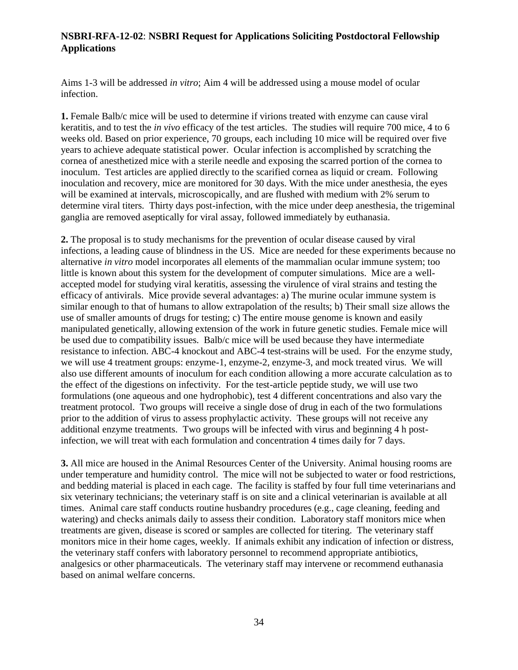Aims 1-3 will be addressed *in vitro*; Aim 4 will be addressed using a mouse model of ocular infection.

**1.** Female Balb/c mice will be used to determine if virions treated with enzyme can cause viral keratitis, and to test the *in vivo* efficacy of the test articles. The studies will require 700 mice, 4 to 6 weeks old. Based on prior experience, 70 groups, each including 10 mice will be required over five years to achieve adequate statistical power. Ocular infection is accomplished by scratching the cornea of anesthetized mice with a sterile needle and exposing the scarred portion of the cornea to inoculum. Test articles are applied directly to the scarified cornea as liquid or cream. Following inoculation and recovery, mice are monitored for 30 days. With the mice under anesthesia, the eyes will be examined at intervals, microscopically, and are flushed with medium with 2% serum to determine viral titers. Thirty days post-infection, with the mice under deep anesthesia, the trigeminal ganglia are removed aseptically for viral assay, followed immediately by euthanasia.

**2.** The proposal is to study mechanisms for the prevention of ocular disease caused by viral infections, a leading cause of blindness in the US. Mice are needed for these experiments because no alternative *in vitro* model incorporates all elements of the mammalian ocular immune system; too little is known about this system for the development of computer simulations. Mice are a wellaccepted model for studying viral keratitis, assessing the virulence of viral strains and testing the efficacy of antivirals. Mice provide several advantages: a) The murine ocular immune system is similar enough to that of humans to allow extrapolation of the results; b) Their small size allows the use of smaller amounts of drugs for testing; c) The entire mouse genome is known and easily manipulated genetically, allowing extension of the work in future genetic studies. Female mice will be used due to compatibility issues. Balb/c mice will be used because they have intermediate resistance to infection. ABC-4 knockout and ABC-4 test-strains will be used. For the enzyme study, we will use 4 treatment groups: enzyme-1, enzyme-2, enzyme-3, and mock treated virus. We will also use different amounts of inoculum for each condition allowing a more accurate calculation as to the effect of the digestions on infectivity. For the test-article peptide study, we will use two formulations (one aqueous and one hydrophobic), test 4 different concentrations and also vary the treatment protocol. Two groups will receive a single dose of drug in each of the two formulations prior to the addition of virus to assess prophylactic activity. These groups will not receive any additional enzyme treatments. Two groups will be infected with virus and beginning 4 h postinfection, we will treat with each formulation and concentration 4 times daily for 7 days.

**3.** All mice are housed in the Animal Resources Center of the University. Animal housing rooms are under temperature and humidity control. The mice will not be subjected to water or food restrictions, and bedding material is placed in each cage. The facility is staffed by four full time veterinarians and six veterinary technicians; the veterinary staff is on site and a clinical veterinarian is available at all times. Animal care staff conducts routine husbandry procedures (e.g., cage cleaning, feeding and watering) and checks animals daily to assess their condition. Laboratory staff monitors mice when treatments are given, disease is scored or samples are collected for titering. The veterinary staff monitors mice in their home cages, weekly. If animals exhibit any indication of infection or distress, the veterinary staff confers with laboratory personnel to recommend appropriate antibiotics, analgesics or other pharmaceuticals. The veterinary staff may intervene or recommend euthanasia based on animal welfare concerns.